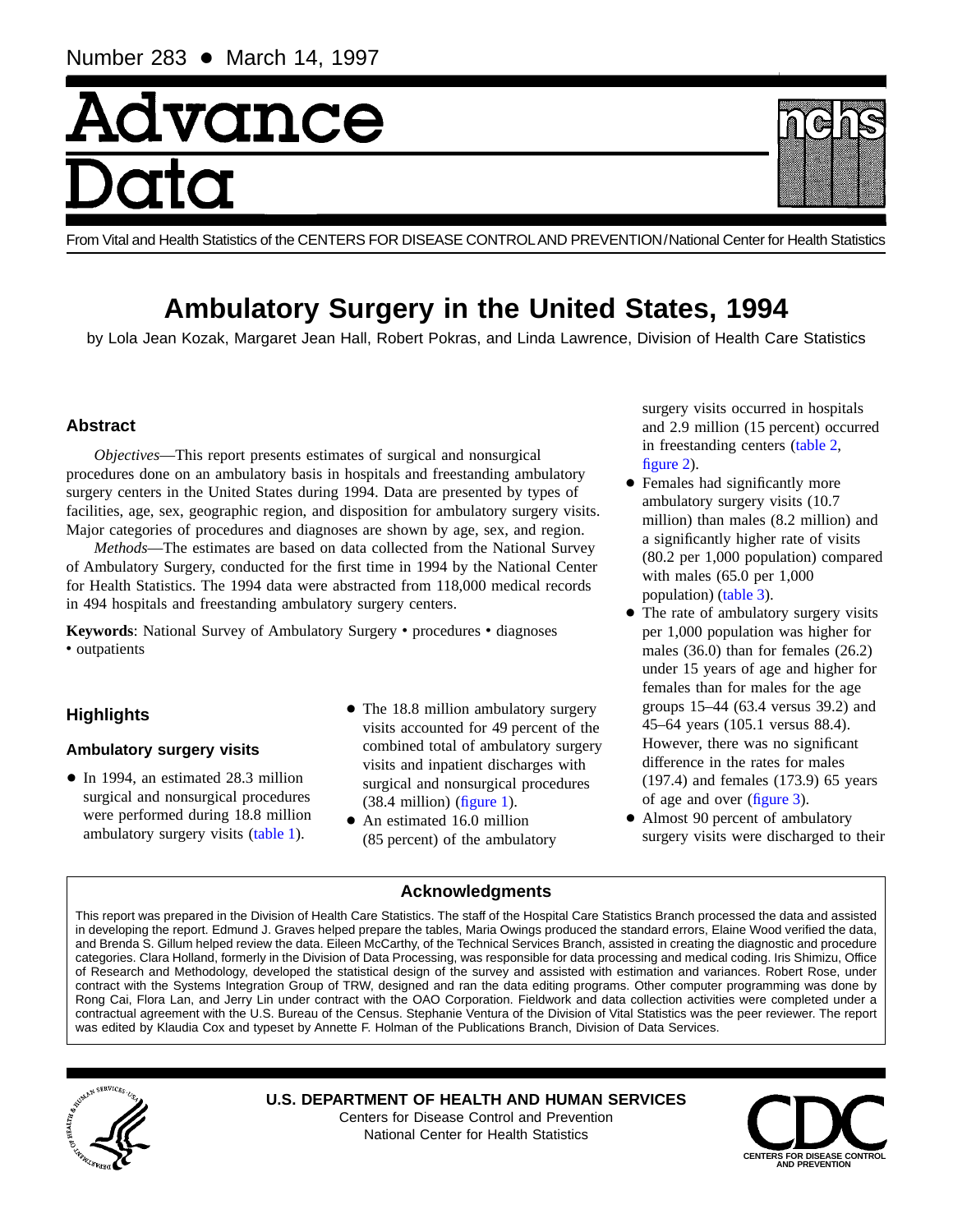# Advance

From Vital and Health Statistics of the CENTERS FOR DISEASE CONTROLAND PREVENTION/National Center for Health Statistics

# **Ambulatory Surgery in the United States, 1994**

by Lola Jean Kozak, Margaret Jean Hall, Robert Pokras, and Linda Lawrence, Division of Health Care Statistics

# **Abstract**

*Objectives*—This report presents estimates of surgical and nonsurgical procedures done on an ambulatory basis in hospitals and freestanding ambulatory surgery centers in the United States during 1994. Data are presented by types of facilities, age, sex, geographic region, and disposition for ambulatory surgery visits. Major categories of procedures and diagnoses are shown by age, sex, and region.

*Methods*—The estimates are based on data collected from the National Survey of Ambulatory Surgery, conducted for the first time in 1994 by the National Center for Health Statistics. The 1994 data were abstracted from 118,000 medical records in 494 hospitals and freestanding ambulatory surgery centers.

Keywords: National Survey of Ambulatory Surgery • procedures • diagnoses • outpatients

# **Highlights**

# **Ambulatory surgery visits**

- In 1994, an estimated 28.3 million surgical and nonsurgical procedures were performed during 18.8 million ambulatory surgery visits [\(table 1\)](#page-1-0).
- The 18.8 million ambulatory surgery visits accounted for 49 percent of the combined total of ambulatory surgery visits and inpatient discharges with surgical and nonsurgical procedures (38.4 million) [\(figure 1\)](#page-1-0).
- An estimated 16.0 million (85 percent) of the ambulatory

surgery visits occurred in hospitals and 2.9 million (15 percent) occurred in freestanding centers [\(table 2,](#page-1-0) [figure 2\)](#page-2-0).

- Females had significantly more ambulatory surgery visits (10.7 million) than males (8.2 million) and a significantly higher rate of visits (80.2 per 1,000 population) compared with males (65.0 per 1,000 population) [\(table 3\)](#page-3-0).
- The rate of ambulatory surgery visits per 1,000 population was higher for males (36.0) than for females (26.2) under 15 years of age and higher for females than for males for the age groups 15–44 (63.4 versus 39.2) and 45–64 years (105.1 versus 88.4). However, there was no significant difference in the rates for males (197.4) and females (173.9) 65 years of age and over [\(figure 3\)](#page-4-0).
- Almost 90 percent of ambulatory surgery visits were discharged to their

# **Acknowledgments**

This report was prepared in the Division of Health Care Statistics. The staff of the Hospital Care Statistics Branch processed the data and assisted in developing the report. Edmund J. Graves helped prepare the tables, Maria Owings produced the standard errors, Elaine Wood verified the data, and Brenda S. Gillum helped review the data. Eileen McCarthy, of the Technical Services Branch, assisted in creating the diagnostic and procedure categories. Clara Holland, formerly in the Division of Data Processing, was responsible for data processing and medical coding. Iris Shimizu, Office of Research and Methodology, developed the statistical design of the survey and assisted with estimation and variances. Robert Rose, under contract with the Systems Integration Group of TRW, designed and ran the data editing programs. Other computer programming was done by Rong Cai, Flora Lan, and Jerry Lin under contract with the OAO Corporation. Fieldwork and data collection activities were completed under a contractual agreement with the U.S. Bureau of the Census. Stephanie Ventura of the Division of Vital Statistics was the peer reviewer. The report was edited by Klaudia Cox and typeset by Annette F. Holman of the Publications Branch, Division of Data Services.



**U.S. DEPARTMENT OF HEALTH AND HUMAN SERVICES** Centers for Disease Control and Prevention National Center for Health Statistics



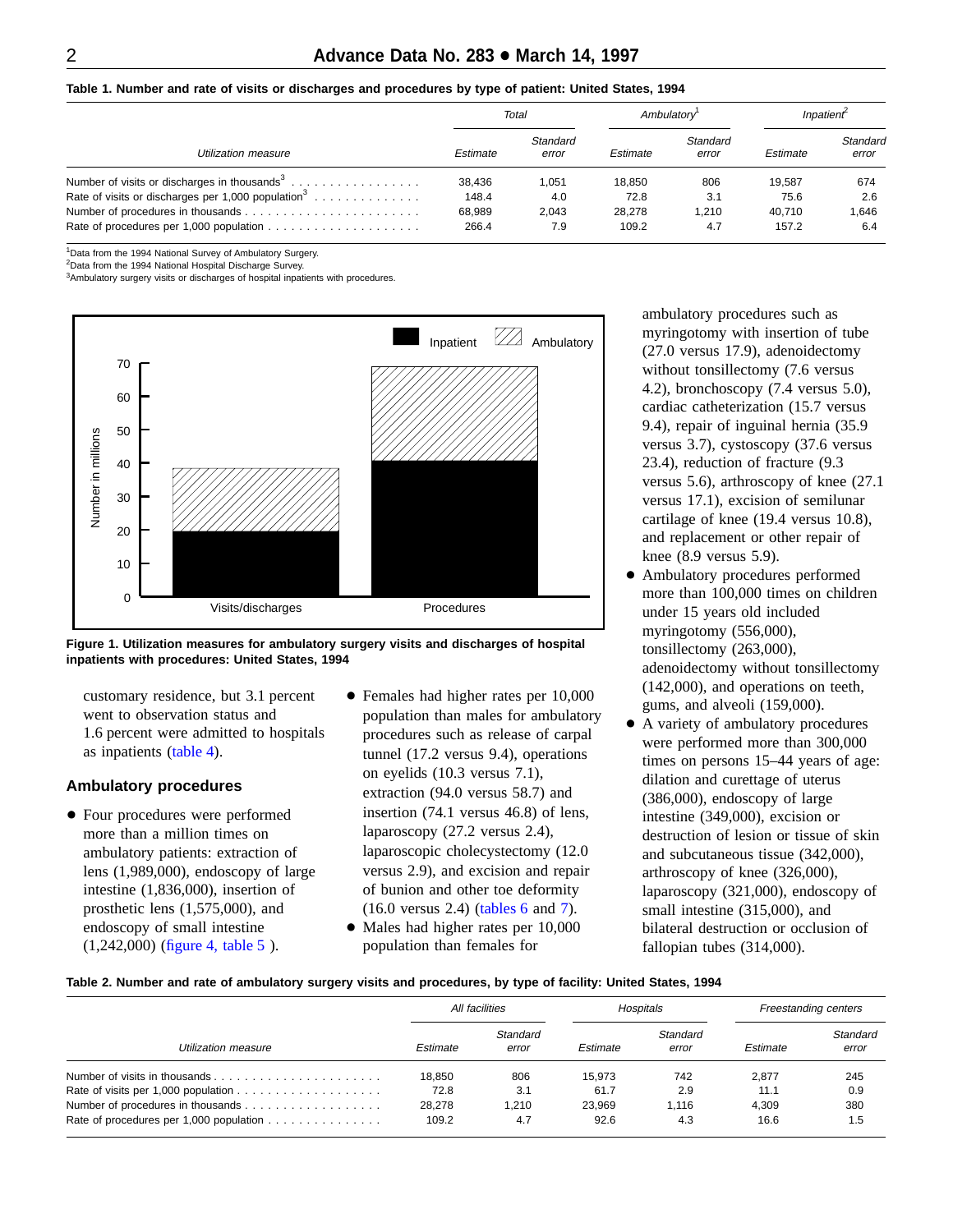<span id="page-1-0"></span>**Table 1. Number and rate of visits or discharges and procedures by type of patient: United States, 1994**

|                                                                | Total    |                   |          | Ambulatory <sup>1</sup> | Inpatient |                   |
|----------------------------------------------------------------|----------|-------------------|----------|-------------------------|-----------|-------------------|
| Utilization measure                                            | Estimate | Standard<br>error | Estimate | Standard<br>error       | Estimate  | Standard<br>error |
| Number of visits or discharges in thousands <sup>3</sup>       | 38.436   | 1,051             | 18.850   | 806                     | 19.587    | 674               |
| Rate of visits or discharges per 1,000 population <sup>3</sup> | 148.4    | 4.0               | 72.8     | 3.1                     | 75.6      | 2.6               |
|                                                                | 68,989   | 2.043             | 28.278   | 1.210                   | 40.710    | 1.646             |
|                                                                | 266.4    | 7.9               | 109.2    | 4.7                     | 157.2     | 6.4               |

<sup>1</sup>Data from the 1994 National Survey of Ambulatory Surgery.

<sup>2</sup>Data from the 1994 National Hospital Discharge Survey.

<sup>3</sup>Ambulatory surgery visits or discharges of hospital inpatients with procedures.



**Figure 1. Utilization measures for ambulatory surgery visits and discharges of hospital inpatients with procedures: United States, 1994**

customary residence, but 3.1 percent went to observation status and 1.6 percent were admitted to hospitals as inpatients [\(table 4\)](#page-4-0).

### **Ambulatory procedures**

- Four procedures were performed more than a million times on ambulatory patients: extraction of lens (1,989,000), endoscopy of large intestine (1,836,000), insertion of prosthetic lens (1,575,000), and endoscopy of small intestine (1,242,000) [\(figure 4,](#page-5-0) [table 5](#page-6-0) ).
- Females had higher rates per 10,000 population than males for ambulatory procedures such as release of carpal tunnel (17.2 versus 9.4), operations on eyelids (10.3 versus 7.1), extraction (94.0 versus 58.7) and insertion (74.1 versus 46.8) of lens, laparoscopy (27.2 versus 2.4), laparoscopic cholecystectomy (12.0 versus 2.9), and excision and repair of bunion and other toe deformity (16.0 versus 2.4) [\(tables 6](#page-7-0) and [7\)](#page-8-0).
- $\bullet$  Males had higher rates per 10,000 population than females for

ambulatory procedures such as myringotomy with insertion of tube (27.0 versus 17.9), adenoidectomy without tonsillectomy (7.6 versus 4.2), bronchoscopy (7.4 versus 5.0), cardiac catheterization (15.7 versus 9.4), repair of inguinal hernia (35.9 versus 3.7), cystoscopy (37.6 versus 23.4), reduction of fracture (9.3 versus 5.6), arthroscopy of knee (27.1 versus 17.1), excision of semilunar cartilage of knee (19.4 versus 10.8), and replacement or other repair of knee (8.9 versus 5.9).

- Ambulatory procedures performed more than 100,000 times on children under 15 years old included myringotomy (556,000), tonsillectomy (263,000), adenoidectomy without tonsillectomy (142,000), and operations on teeth, gums, and alveoli (159,000).
- + A variety of ambulatory procedures were performed more than 300,000 times on persons 15–44 years of age: dilation and curettage of uterus (386,000), endoscopy of large intestine (349,000), excision or destruction of lesion or tissue of skin and subcutaneous tissue (342,000), arthroscopy of knee (326,000), laparoscopy (321,000), endoscopy of small intestine (315,000), and bilateral destruction or occlusion of fallopian tubes (314,000).

#### **Table 2. Number and rate of ambulatory surgery visits and procedures, by type of facility: United States, 1994**

|                                                                                 |          | All facilities    |          | Hospitals         |          | Freestanding centers |
|---------------------------------------------------------------------------------|----------|-------------------|----------|-------------------|----------|----------------------|
| Utilization measure                                                             | Estimate | Standard<br>error | Estimate | Standard<br>error | Estimate | Standard<br>error    |
|                                                                                 | 18.850   | 806               | 15.973   | 742               | 2.877    | 245                  |
| Rate of visits per 1,000 population $\ldots \ldots \ldots \ldots \ldots \ldots$ | 72.8     | 3.1               | 61.7     | 2.9               | 11.1     | 0.9                  |
|                                                                                 | 28.278   | 1.210             | 23.969   | 1.116             | 4.309    | 380                  |
| Rate of procedures per 1,000 population                                         | 109.2    | 4.7               | 92.6     | 4.3               | 16.6     | 1.5                  |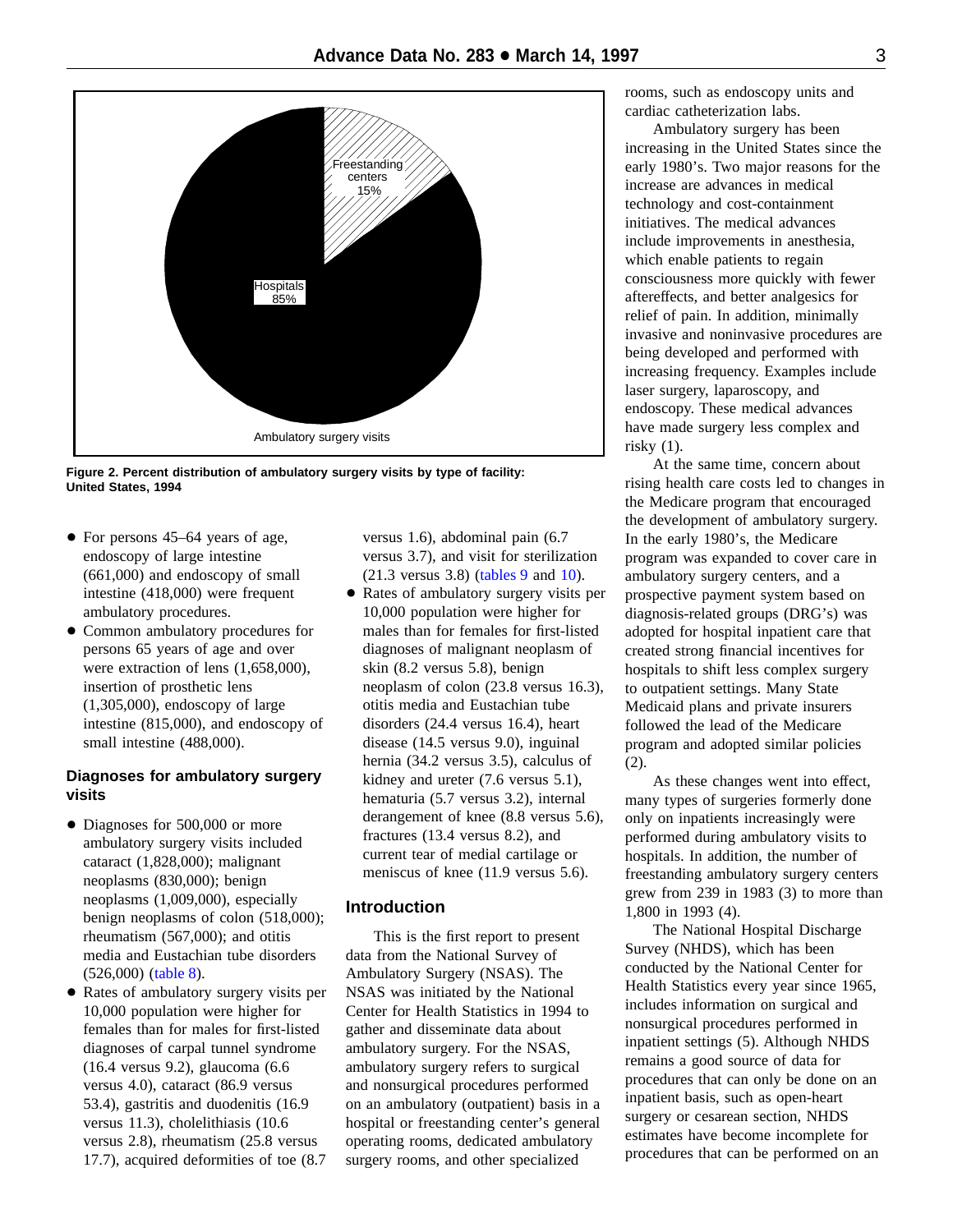<span id="page-2-0"></span>

**Figure 2. Percent distribution of ambulatory surgery visits by type of facility: United States, 1994**

- $\bullet$  For persons 45–64 years of age, endoscopy of large intestine (661,000) and endoscopy of small intestine (418,000) were frequent ambulatory procedures.
- + Common ambulatory procedures for persons 65 years of age and over were extraction of lens (1,658,000), insertion of prosthetic lens (1,305,000), endoscopy of large intestine (815,000), and endoscopy of small intestine (488,000).

# **Diagnoses for ambulatory surgery visits**

- Diagnoses for 500,000 or more ambulatory surgery visits included cataract (1,828,000); malignant neoplasms (830,000); benign neoplasms (1,009,000), especially benign neoplasms of colon (518,000); rheumatism (567,000); and otitis media and Eustachian tube disorders (526,000) [\(table 8\)](#page-9-0).
- + Rates of ambulatory surgery visits per 10,000 population were higher for females than for males for first-listed diagnoses of carpal tunnel syndrome (16.4 versus 9.2), glaucoma (6.6 versus 4.0), cataract (86.9 versus 53.4), gastritis and duodenitis (16.9 versus 11.3), cholelithiasis (10.6 versus 2.8), rheumatism (25.8 versus 17.7), acquired deformities of toe (8.7

versus 1.6), abdominal pain (6.7 versus 3.7), and visit for sterilization (21.3 versus 3.8) [\(tables 9](#page-10-0) and [10\)](#page-11-0).

• Rates of ambulatory surgery visits per 10,000 population were higher for males than for females for first-listed diagnoses of malignant neoplasm of skin (8.2 versus 5.8), benign neoplasm of colon (23.8 versus 16.3), otitis media and Eustachian tube disorders (24.4 versus 16.4), heart disease (14.5 versus 9.0), inguinal hernia (34.2 versus 3.5), calculus of kidney and ureter (7.6 versus 5.1), hematuria (5.7 versus 3.2), internal derangement of knee (8.8 versus 5.6), fractures (13.4 versus 8.2), and current tear of medial cartilage or meniscus of knee (11.9 versus 5.6).

# **Introduction**

This is the first report to present data from the National Survey of Ambulatory Surgery (NSAS). The NSAS was initiated by the National Center for Health Statistics in 1994 to gather and disseminate data about ambulatory surgery. For the NSAS, ambulatory surgery refers to surgical and nonsurgical procedures performed on an ambulatory (outpatient) basis in a hospital or freestanding center's general operating rooms, dedicated ambulatory surgery rooms, and other specialized

rooms, such as endoscopy units and cardiac catheterization labs.

Ambulatory surgery has been increasing in the United States since the early 1980's. Two major reasons for the increase are advances in medical technology and cost-containment initiatives. The medical advances include improvements in anesthesia, which enable patients to regain consciousness more quickly with fewer aftereffects, and better analgesics for relief of pain. In addition, minimally invasive and noninvasive procedures are being developed and performed with increasing frequency. Examples include laser surgery, laparoscopy, and endoscopy. These medical advances have made surgery less complex and risky (1).

At the same time, concern about rising health care costs led to changes in the Medicare program that encouraged the development of ambulatory surgery. In the early 1980's, the Medicare program was expanded to cover care in ambulatory surgery centers, and a prospective payment system based on diagnosis-related groups (DRG's) was adopted for hospital inpatient care that created strong financial incentives for hospitals to shift less complex surgery to outpatient settings. Many State Medicaid plans and private insurers followed the lead of the Medicare program and adopted similar policies (2).

As these changes went into effect, many types of surgeries formerly done only on inpatients increasingly were performed during ambulatory visits to hospitals. In addition, the number of freestanding ambulatory surgery centers grew from 239 in 1983 (3) to more than 1,800 in 1993 (4).

The National Hospital Discharge Survey (NHDS), which has been conducted by the National Center for Health Statistics every year since 1965, includes information on surgical and nonsurgical procedures performed in inpatient settings (5). Although NHDS remains a good source of data for procedures that can only be done on an inpatient basis, such as open-heart surgery or cesarean section, NHDS estimates have become incomplete for procedures that can be performed on an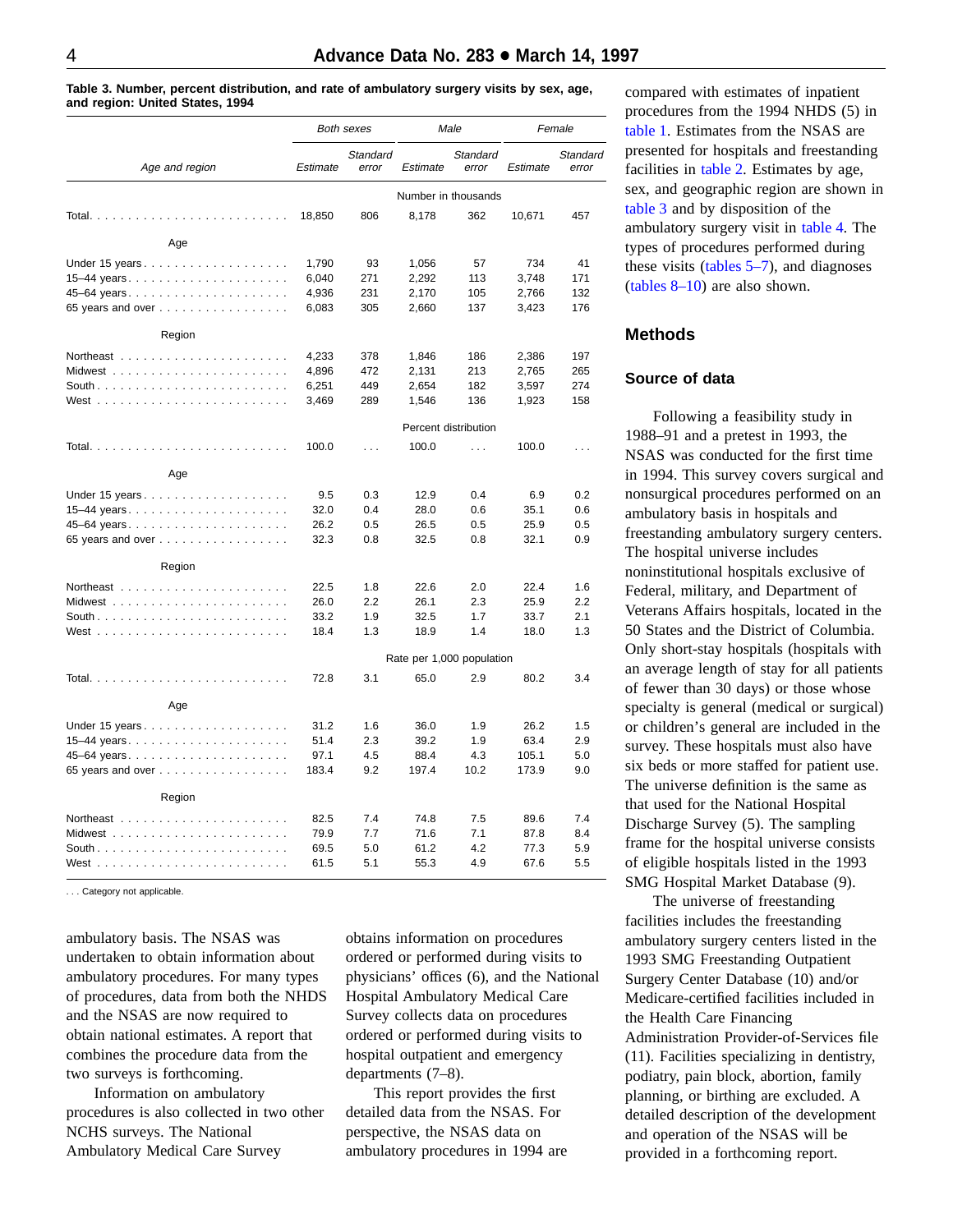<span id="page-3-0"></span>**Table 3. Number, percent distribution, and rate of ambulatory surgery visits by sex, age, and region: United States, 1994**

|                   |          | <b>Both sexes</b> |                           | Male                 |          | Female            |  |
|-------------------|----------|-------------------|---------------------------|----------------------|----------|-------------------|--|
| Age and region    | Estimate | Standard<br>error | Estimate                  | Standard<br>error    | Estimate | Standard<br>error |  |
|                   |          |                   | Number in thousands       |                      |          |                   |  |
|                   | 18,850   | 806               | 8,178                     | 362                  | 10,671   | 457               |  |
| Age               |          |                   |                           |                      |          |                   |  |
| Under 15 years    | 1,790    | 93                | 1,056                     | 57                   | 734      | 41                |  |
|                   | 6,040    | 271               | 2,292                     | 113                  | 3,748    | 171               |  |
| 45–64 years       | 4,936    | 231               | 2,170                     | 105                  | 2,766    | 132               |  |
| 65 years and over | 6,083    | 305               | 2,660                     | 137                  | 3,423    | 176               |  |
| Region            |          |                   |                           |                      |          |                   |  |
|                   | 4,233    | 378               | 1,846                     | 186                  | 2,386    | 197               |  |
|                   | 4,896    | 472               | 2,131                     | 213                  | 2,765    | 265               |  |
|                   | 6,251    | 449               | 2,654                     | 182                  | 3,597    | 274               |  |
|                   | 3,469    | 289               | 1,546                     | 136                  | 1,923    | 158               |  |
|                   |          |                   |                           | Percent distribution |          |                   |  |
|                   | 100.0    | $\ldots$          | 100.0                     | $\ldots$             | 100.0    | $\cdots$          |  |
| Age               |          |                   |                           |                      |          |                   |  |
|                   | 9.5      | 0.3               | 12.9                      | 0.4                  | 6.9      | 0.2               |  |
| 15–44 years       | 32.0     | 0.4               | 28.0                      | 0.6                  | 35.1     | 0.6               |  |
| 45–64 years       | 26.2     | 0.5               | 26.5                      | 0.5                  | 25.9     | 0.5               |  |
| 65 years and over | 32.3     | 0.8               | 32.5                      | 0.8                  | 32.1     | 0.9               |  |
| Region            |          |                   |                           |                      |          |                   |  |
|                   | 22.5     | 1.8               | 22.6                      | 2.0                  | 22.4     | 1.6               |  |
|                   | 26.0     | 2.2               | 26.1                      | 2.3                  | 25.9     | 2.2               |  |
|                   | 33.2     | 1.9               | 32.5                      | 1.7                  | 33.7     | 2.1               |  |
|                   | 18.4     | 1.3               | 18.9                      | 1.4                  | 18.0     | 1.3               |  |
|                   |          |                   | Rate per 1,000 population |                      |          |                   |  |
|                   | 72.8     | 3.1               | 65.0                      | 2.9                  | 80.2     | 3.4               |  |
| Age               |          |                   |                           |                      |          |                   |  |
| Under 15 years    | 31.2     | 1.6               | 36.0                      | 1.9                  | 26.2     | 1.5               |  |
| 15–44 years       | 51.4     | 2.3               | 39.2                      | 1.9                  | 63.4     | 2.9               |  |
|                   | 97.1     | 4.5               | 88.4                      | 4.3                  | 105.1    | 5.0               |  |
| 65 years and over | 183.4    | 9.2               | 197.4                     | 10.2                 | 173.9    | 9.0               |  |
| Region            |          |                   |                           |                      |          |                   |  |
|                   | 82.5     | 7.4               | 74.8                      | 7.5                  | 89.6     | 7.4               |  |
|                   | 79.9     | 7.7               | 71.6                      | 7.1                  | 87.8     | 8.4               |  |
|                   | 69.5     | 5.0               | 61.2                      | 4.2                  | 77.3     | 5.9               |  |
| West              | 61.5     | 5.1               | 55.3                      | 4.9                  | 67.6     | 5.5               |  |

. . . Category not applicable.

ambulatory basis. The NSAS was undertaken to obtain information about ambulatory procedures. For many types of procedures, data from both the NHDS and the NSAS are now required to obtain national estimates. A report that combines the procedure data from the two surveys is forthcoming.

Information on ambulatory procedures is also collected in two other NCHS surveys. The National Ambulatory Medical Care Survey

obtains information on procedures ordered or performed during visits to physicians' offices (6), and the National Hospital Ambulatory Medical Care Survey collects data on procedures ordered or performed during visits to hospital outpatient and emergency departments (7–8).

This report provides the first detailed data from the NSAS. For perspective, the NSAS data on ambulatory procedures in 1994 are compared with estimates of inpatient procedures from the 1994 NHDS (5) in [table 1.](#page-1-0) Estimates from the NSAS are presented for hospitals and freestanding facilities in [table 2.](#page-1-0) Estimates by age, sex, and geographic region are shown in table 3 and by disposition of the ambulatory surgery visit in [table 4.](#page-4-0) The types of procedures performed during these visits [\(tables 5–7\)](#page-6-0), and diagnoses (tables  $8-10$ ) are also shown.

# **Methods**

#### **Source of data**

Following a feasibility study in 1988–91 and a pretest in 1993, the NSAS was conducted for the first time in 1994. This survey covers surgical and nonsurgical procedures performed on an ambulatory basis in hospitals and freestanding ambulatory surgery centers. The hospital universe includes noninstitutional hospitals exclusive of Federal, military, and Department of Veterans Affairs hospitals, located in the 50 States and the District of Columbia. Only short-stay hospitals (hospitals with an average length of stay for all patients of fewer than 30 days) or those whose specialty is general (medical or surgical) or children's general are included in the survey. These hospitals must also have six beds or more staffed for patient use. The universe definition is the same as that used for the National Hospital Discharge Survey (5). The sampling frame for the hospital universe consists of eligible hospitals listed in the 1993 SMG Hospital Market Database (9).

The universe of freestanding facilities includes the freestanding ambulatory surgery centers listed in the 1993 SMG Freestanding Outpatient Surgery Center Database (10) and/or Medicare-certified facilities included in the Health Care Financing Administration Provider-of-Services file (11). Facilities specializing in dentistry, podiatry, pain block, abortion, family planning, or birthing are excluded. A detailed description of the development and operation of the NSAS will be provided in a forthcoming report.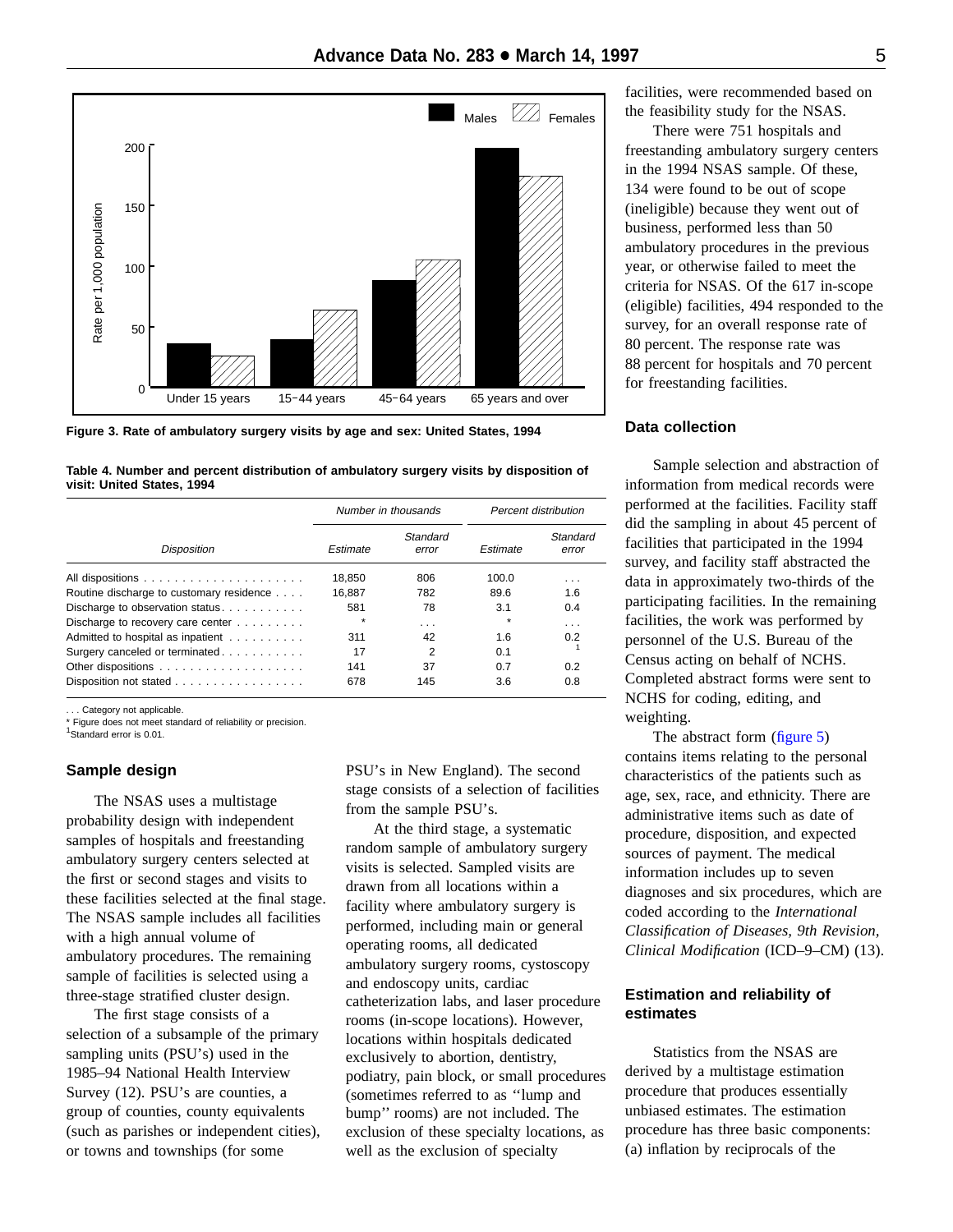<span id="page-4-0"></span>

**Figure 3. Rate of ambulatory surgery visits by age and sex: United States, 1994**

**Table 4. Number and percent distribution of ambulatory surgery visits by disposition of visit: United States, 1994**

|                                          |          | Number in thousands | Percent distribution |                   |  |
|------------------------------------------|----------|---------------------|----------------------|-------------------|--|
| <b>Disposition</b>                       | Estimate | Standard<br>error   | Estimate             | Standard<br>error |  |
|                                          | 18.850   | 806                 | 100.0                | .                 |  |
| Routine discharge to customary residence | 16.887   | 782                 | 89.6                 | 1.6               |  |
| Discharge to observation status          | 581      | 78                  | 3.1                  | 0.4               |  |
| Discharge to recovery care center        | $\star$  | .                   | $\star$              | $\cdots$          |  |
| Admitted to hospital as inpatient        | 311      | 42                  | 1.6                  | 0.2               |  |
| Surgery canceled or terminated.          | 17       | $\overline{2}$      | 0.1                  |                   |  |
|                                          | 141      | 37                  | 0.7                  | 0.2               |  |
| Disposition not stated                   | 678      | 145                 | 3.6                  | 0.8               |  |

... Category not applicable.

Figure does not meet standard of reliability or precision.

<sup>1</sup>Standard error is 0.01.

#### **Sample design**

The NSAS uses a multistage probability design with independent samples of hospitals and freestanding ambulatory surgery centers selected at the first or second stages and visits to these facilities selected at the final stage. The NSAS sample includes all facilities with a high annual volume of ambulatory procedures. The remaining sample of facilities is selected using a three-stage stratified cluster design.

The first stage consists of a selection of a subsample of the primary sampling units (PSU's) used in the 1985–94 National Health Interview Survey (12). PSU's are counties, a group of counties, county equivalents (such as parishes or independent cities), or towns and townships (for some

PSU's in New England). The second stage consists of a selection of facilities from the sample PSU's.

At the third stage, a systematic random sample of ambulatory surgery visits is selected. Sampled visits are drawn from all locations within a facility where ambulatory surgery is performed, including main or general operating rooms, all dedicated ambulatory surgery rooms, cystoscopy and endoscopy units, cardiac catheterization labs, and laser procedure rooms (in-scope locations). However, locations within hospitals dedicated exclusively to abortion, dentistry, podiatry, pain block, or small procedures (sometimes referred to as ''lump and bump'' rooms) are not included. The exclusion of these specialty locations, as well as the exclusion of specialty

facilities, were recommended based on the feasibility study for the NSAS.

There were 751 hospitals and freestanding ambulatory surgery centers in the 1994 NSAS sample. Of these, 134 were found to be out of scope (ineligible) because they went out of business, performed less than 50 ambulatory procedures in the previous year, or otherwise failed to meet the criteria for NSAS. Of the 617 in-scope (eligible) facilities, 494 responded to the survey, for an overall response rate of 80 percent. The response rate was 88 percent for hospitals and 70 percent for freestanding facilities.

# **Data collection**

Sample selection and abstraction of information from medical records were performed at the facilities. Facility staff did the sampling in about 45 percent of facilities that participated in the 1994 survey, and facility staff abstracted the data in approximately two-thirds of the participating facilities. In the remaining facilities, the work was performed by personnel of the U.S. Bureau of the Census acting on behalf of NCHS. Completed abstract forms were sent to NCHS for coding, editing, and weighting.

The abstract form [\(figure 5\)](#page-12-0) contains items relating to the personal characteristics of the patients such as age, sex, race, and ethnicity. There are administrative items such as date of procedure, disposition, and expected sources of payment. The medical information includes up to seven diagnoses and six procedures, which are coded according to the *International Classification of Diseases, 9th Revision, Clinical Modification* (ICD–9–CM) (13).

# **Estimation and reliability of estimates**

Statistics from the NSAS are derived by a multistage estimation procedure that produces essentially unbiased estimates. The estimation procedure has three basic components: (a) inflation by reciprocals of the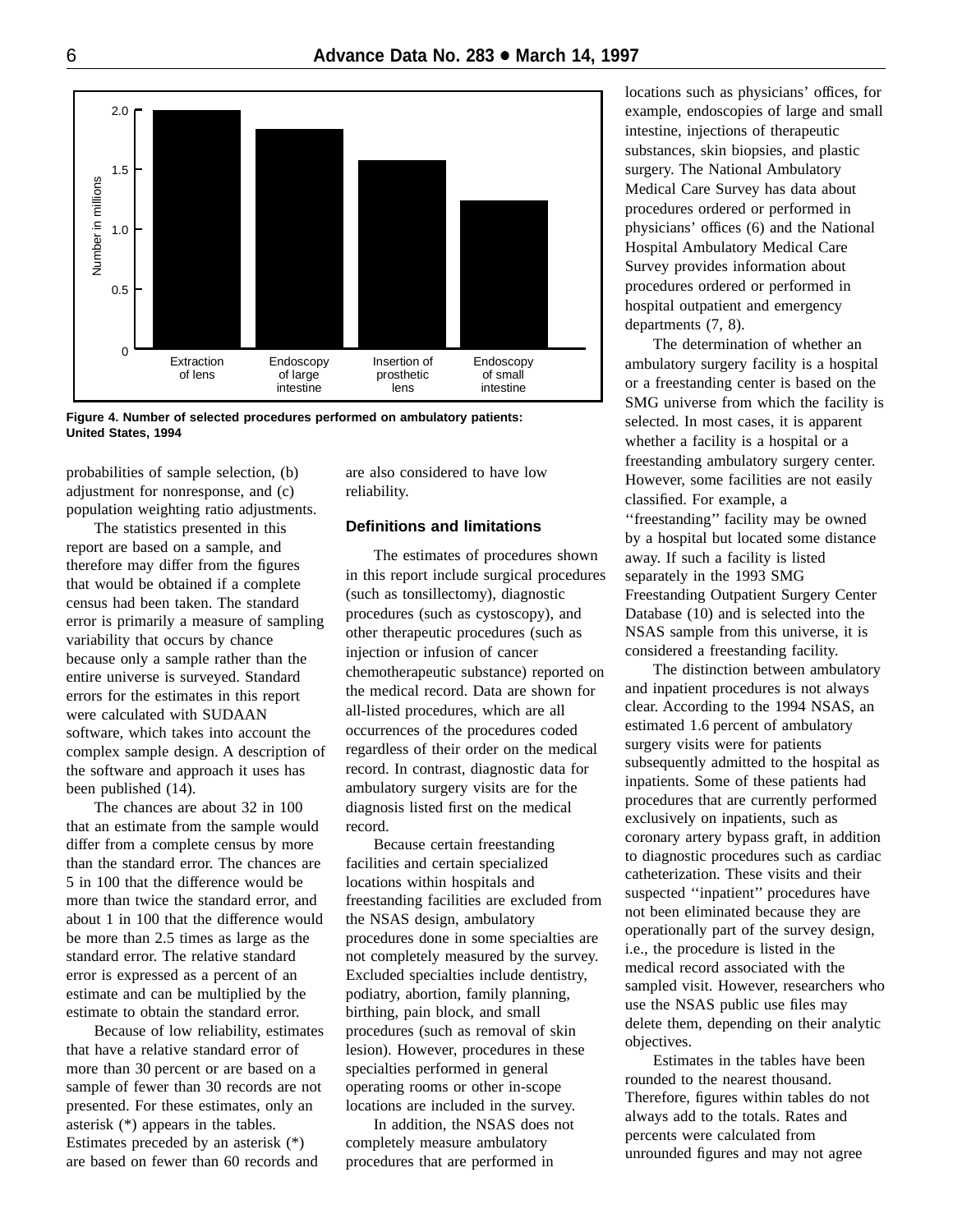<span id="page-5-0"></span>

**Figure 4. Number of selected procedures performed on ambulatory patients: United States, 1994**

probabilities of sample selection, (b) adjustment for nonresponse, and (c) population weighting ratio adjustments.

The statistics presented in this report are based on a sample, and therefore may differ from the figures that would be obtained if a complete census had been taken. The standard error is primarily a measure of sampling variability that occurs by chance because only a sample rather than the entire universe is surveyed. Standard errors for the estimates in this report were calculated with SUDAAN software, which takes into account the complex sample design. A description of the software and approach it uses has been published (14).

The chances are about 32 in 100 that an estimate from the sample would differ from a complete census by more than the standard error. The chances are 5 in 100 that the difference would be more than twice the standard error, and about 1 in 100 that the difference would be more than 2.5 times as large as the standard error. The relative standard error is expressed as a percent of an estimate and can be multiplied by the estimate to obtain the standard error.

Because of low reliability, estimates that have a relative standard error of more than 30 percent or are based on a sample of fewer than 30 records are not presented. For these estimates, only an asterisk (\*) appears in the tables. Estimates preceded by an asterisk (\*) are based on fewer than 60 records and

are also considered to have low reliability.

# **Definitions and limitations**

The estimates of procedures shown in this report include surgical procedures (such as tonsillectomy), diagnostic procedures (such as cystoscopy), and other therapeutic procedures (such as injection or infusion of cancer chemotherapeutic substance) reported on the medical record. Data are shown for all-listed procedures, which are all occurrences of the procedures coded regardless of their order on the medical record. In contrast, diagnostic data for ambulatory surgery visits are for the diagnosis listed first on the medical record.

Because certain freestanding facilities and certain specialized locations within hospitals and freestanding facilities are excluded from the NSAS design, ambulatory procedures done in some specialties are not completely measured by the survey. Excluded specialties include dentistry, podiatry, abortion, family planning, birthing, pain block, and small procedures (such as removal of skin lesion). However, procedures in these specialties performed in general operating rooms or other in-scope locations are included in the survey.

In addition, the NSAS does not completely measure ambulatory procedures that are performed in

locations such as physicians' offices, for example, endoscopies of large and small intestine, injections of therapeutic substances, skin biopsies, and plastic surgery. The National Ambulatory Medical Care Survey has data about procedures ordered or performed in physicians' offices (6) and the National Hospital Ambulatory Medical Care Survey provides information about procedures ordered or performed in hospital outpatient and emergency departments (7, 8).

The determination of whether an ambulatory surgery facility is a hospital or a freestanding center is based on the SMG universe from which the facility is selected. In most cases, it is apparent whether a facility is a hospital or a freestanding ambulatory surgery center. However, some facilities are not easily classified. For example, a ''freestanding'' facility may be owned by a hospital but located some distance away. If such a facility is listed separately in the 1993 SMG Freestanding Outpatient Surgery Center Database (10) and is selected into the NSAS sample from this universe, it is considered a freestanding facility.

The distinction between ambulatory and inpatient procedures is not always clear. According to the 1994 NSAS, an estimated 1.6 percent of ambulatory surgery visits were for patients subsequently admitted to the hospital as inpatients. Some of these patients had procedures that are currently performed exclusively on inpatients, such as coronary artery bypass graft, in addition to diagnostic procedures such as cardiac catheterization. These visits and their suspected ''inpatient'' procedures have not been eliminated because they are operationally part of the survey design, i.e., the procedure is listed in the medical record associated with the sampled visit. However, researchers who use the NSAS public use files may delete them, depending on their analytic objectives.

Estimates in the tables have been rounded to the nearest thousand. Therefore, figures within tables do not always add to the totals. Rates and percents were calculated from unrounded figures and may not agree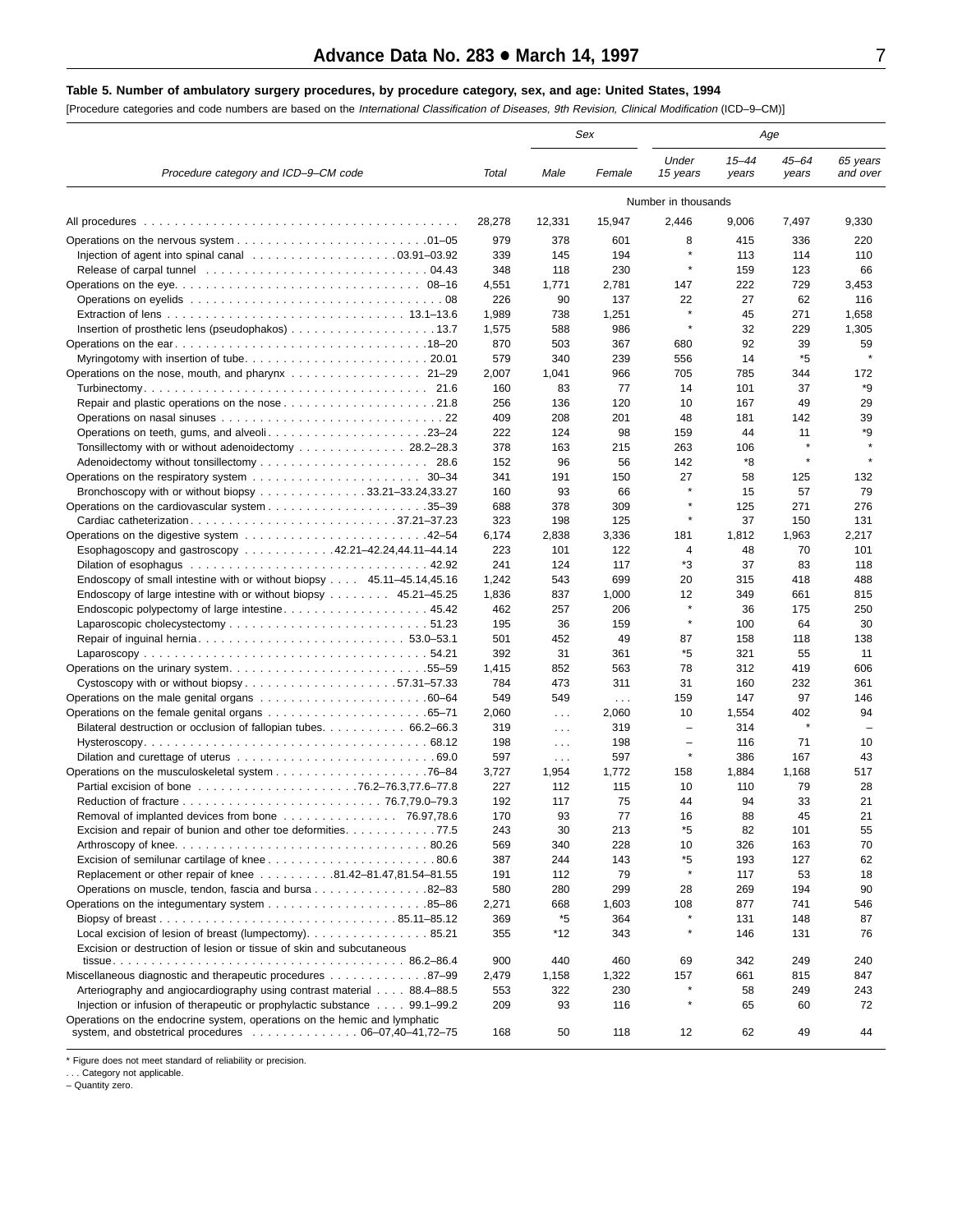#### <span id="page-6-0"></span>**Table 5. Number of ambulatory surgery procedures, by procedure category, sex, and age: United States, 1994**

[Procedure categories and code numbers are based on the International Classification of Diseases, 9th Revision, Clinical Modification (ICD–9–CM)]

|                                                                                                                                                                        |            |                      | Sex               |                          | Age                |                    |                          |  |
|------------------------------------------------------------------------------------------------------------------------------------------------------------------------|------------|----------------------|-------------------|--------------------------|--------------------|--------------------|--------------------------|--|
| Procedure category and ICD-9-CM code                                                                                                                                   | Total      | Male                 | Female            | Under<br>15 years        | $15 - 44$<br>years | $45 - 64$<br>years | 65 years<br>and over     |  |
|                                                                                                                                                                        |            |                      |                   | Number in thousands      |                    |                    |                          |  |
| All procedures                                                                                                                                                         | 28,278     | 12,331               | 15,947            | 2,446                    | 9,006              | 7,497              | 9,330                    |  |
|                                                                                                                                                                        | 979        | 378                  | 601               | 8                        | 415                | 336                | 220                      |  |
| Injection of agent into spinal canal $\ldots \ldots \ldots \ldots \ldots \ldots$ . 03.91-03.92                                                                         | 339        | 145                  | 194               |                          | 113                | 114                | 110                      |  |
| Release of carpal tunnel contained and all contained and all contained and all all contained and all all conta                                                         | 348        | 118                  | 230               | $\star$                  | 159                | 123                | 66                       |  |
|                                                                                                                                                                        | 4,551      | 1,771                | 2,781             | 147                      | 222                | 729                | 3,453                    |  |
|                                                                                                                                                                        | 226        | 90                   | 137               | 22                       | 27                 | 62                 | 116                      |  |
|                                                                                                                                                                        | 1,989      | 738                  | 1,251             | $\star$                  | 45                 | 271                | 1,658                    |  |
|                                                                                                                                                                        | 1,575      | 588                  | 986               |                          | 32                 | 229                | 1,305                    |  |
|                                                                                                                                                                        | 870        | 503                  | 367               | 680                      | 92                 | 39                 | 59                       |  |
|                                                                                                                                                                        | 579        | 340                  | 239               | 556                      | 14                 | *5                 |                          |  |
| Operations on the nose, mouth, and pharynx $\ldots$ 21–29                                                                                                              | 2,007      | 1,041                | 966               | 705<br>14                | 785                | 344                | 172<br>*9                |  |
|                                                                                                                                                                        | 160<br>256 | 83<br>136            | 77<br>120         | 10                       | 101<br>167         | 37<br>49           | 29                       |  |
|                                                                                                                                                                        | 409        | 208                  | 201               | 48                       | 181                | 142                | 39                       |  |
| Operations on teeth, gums, and alveoli23–24                                                                                                                            | 222        | 124                  | 98                | 159                      | 44                 | 11                 | *9                       |  |
| Tonsillectomy with or without adenoidectomy 28.2–28.3                                                                                                                  | 378        | 163                  | 215               | 263                      | 106                |                    |                          |  |
| 28.6                                                                                                                                                                   | 152        | 96                   | 56                | 142                      | *8                 | $\star$            |                          |  |
|                                                                                                                                                                        | 341        | 191                  | 150               | 27                       | 58                 | 125                | 132                      |  |
| Bronchoscopy with or without biopsy $\ldots \ldots \ldots \ldots 33.21-33.24,33.27$                                                                                    | 160        | 93                   | 66                | $\star$                  | 15                 | 57                 | 79                       |  |
|                                                                                                                                                                        | 688        | 378                  | 309               |                          | 125                | 271                | 276                      |  |
|                                                                                                                                                                        | 323        | 198                  | 125               | $\star$                  | 37                 | 150                | 131                      |  |
|                                                                                                                                                                        | 6,174      | 2,838                | 3,336             | 181                      | 1,812              | 1,963              | 2,217                    |  |
| Esophagoscopy and gastroscopy 42.21–42.24,44.11–44.14                                                                                                                  | 223        | 101                  | 122               | 4                        | 48                 | 70                 | 101                      |  |
|                                                                                                                                                                        | 241        | 124                  | 117               | *3                       | 37                 | 83                 | 118                      |  |
| Endoscopy of small intestine with or without biopsy 45.11–45.14,45.16                                                                                                  | 1,242      | 543                  | 699               | 20                       | 315                | 418                | 488                      |  |
| Endoscopy of large intestine with or without biopsy 45.21-45.25                                                                                                        | 1,836      | 837                  | 1,000             | 12                       | 349                | 661                | 815                      |  |
| Endoscopic polypectomy of large intestine 45.42                                                                                                                        | 462        | 257                  | 206               |                          | 36                 | 175                | 250                      |  |
|                                                                                                                                                                        | 195        | 36                   | 159               | $\star$                  | 100                | 64                 | 30                       |  |
|                                                                                                                                                                        | 501        | 452                  | 49                | 87                       | 158                | 118                | 138                      |  |
|                                                                                                                                                                        | 392        | 31                   | 361               | *5                       | 321                | 55                 | 11                       |  |
| Operations on the urinary system55–59                                                                                                                                  | 1,415      | 852                  | 563               | 78                       | 312                | 419                | 606                      |  |
| Cystoscopy with or without biopsy57.31-57.33                                                                                                                           | 784<br>549 | 473<br>549           | 311               | 31<br>159                | 160<br>147         | 232<br>97          | 361                      |  |
|                                                                                                                                                                        | 2,060      |                      | $\cdots$<br>2,060 | 10                       | 1,554              | 402                | 146<br>94                |  |
| Bilateral destruction or occlusion of fallopian tubes 66.2–66.3                                                                                                        | 319        | $\cdots$             | 319               | $\overline{\phantom{0}}$ | 314                | $\star$            | $\overline{\phantom{0}}$ |  |
|                                                                                                                                                                        | 198        | $\sim$ $\sim$ $\sim$ | 198               | $\overline{\phantom{m}}$ | 116                | 71                 | 10                       |  |
|                                                                                                                                                                        | 597        | $\sim$ .<br>$\sim$ . | 597               | $\pmb{\ast}$             | 386                | 167                | 43                       |  |
|                                                                                                                                                                        | 3,727      | 1,954                | 1,772             | 158                      | 1,884              | 1,168              | 517                      |  |
|                                                                                                                                                                        | 227        | 112                  | 115               | 10                       | 110                | 79                 | 28                       |  |
|                                                                                                                                                                        | 192        | 117                  | 75                | 44                       | 94                 | 33                 | 21                       |  |
| Removal of implanted devices from bone 76.97,78.6                                                                                                                      | 170        | 93                   | 77                | 16                       | 88                 | 45                 | 21                       |  |
| Excision and repair of bunion and other toe deformities. 77.5                                                                                                          | 243        | 30                   | 213               | *5                       | 82                 | 101                | 55                       |  |
|                                                                                                                                                                        | 569        | 340                  | 228               | 10                       | 326                | 163                | 70                       |  |
|                                                                                                                                                                        | 387        | 244                  | 143               | *5                       | 193                | 127                | 62                       |  |
| Replacement or other repair of knee 81.42-81.47,81.54-81.55                                                                                                            | 191        | 112                  | 79                | $\star$                  | 117                | 53                 | 18                       |  |
| Operations on muscle, tendon, fascia and bursa 82–83                                                                                                                   | 580        | 280                  | 299               | 28                       | 269                | 194                | 90                       |  |
|                                                                                                                                                                        | 2,271      | 668                  | 1,603             | 108                      | 877                | 741                | 546                      |  |
|                                                                                                                                                                        | 369        | *5                   | 364               |                          | 131                | 148                | 87                       |  |
| Local excision of lesion of breast (lumpectomy). 85.21<br>Excision or destruction of lesion or tissue of skin and subcutaneous                                         | 355        | $*12$                | 343               |                          | 146                | 131                | 76                       |  |
|                                                                                                                                                                        | 900        | 440                  | 460               | 69                       | 342                | 249                | 240                      |  |
| Miscellaneous diagnostic and therapeutic procedures 87–99                                                                                                              | 2,479      | 1,158                | 1,322             | 157                      | 661                | 815                | 847                      |  |
| Arteriography and angiocardiography using contrast material 88.4–88.5                                                                                                  | 553        | 322                  | 230               |                          | 58                 | 249                | 243                      |  |
| Injection or infusion of therapeutic or prophylactic substance 99.1–99.2                                                                                               | 209        | 93                   | 116               | $\star$                  | 65                 | 60                 | 72                       |  |
| Operations on the endocrine system, operations on the hemic and lymphatic<br>system, and obstetrical procedures $\ldots \ldots \ldots \ldots \ldots 06-07,40-41,72-75$ | 168        | 50                   | 118               | 12                       | 62                 | 49                 | 44                       |  |

\* Figure does not meet standard of reliability or precision.

. . . Category not applicable. – Quantity zero.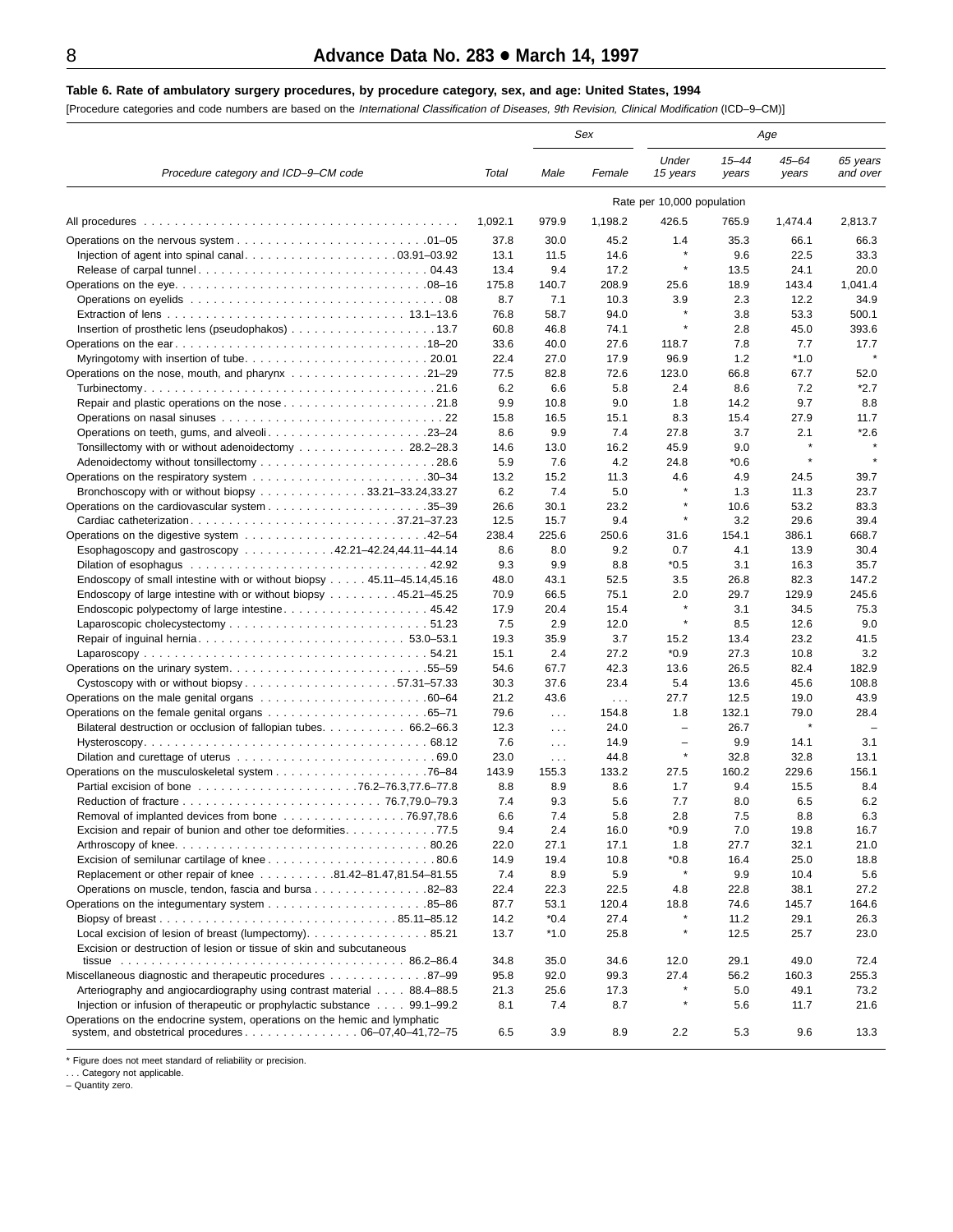#### <span id="page-7-0"></span>**Table 6. Rate of ambulatory surgery procedures, by procedure category, sex, and age: United States, 1994**

[Procedure categories and code numbers are based on the International Classification of Diseases, 9th Revision, Clinical Modification (ICD–9–CM)]

|                                                                                                                                                       |              |             | Sex         | Age                        |                    |                |                      |
|-------------------------------------------------------------------------------------------------------------------------------------------------------|--------------|-------------|-------------|----------------------------|--------------------|----------------|----------------------|
| Procedure category and ICD-9-CM code                                                                                                                  | Total        | Male        | Female      | Under<br>15 years          | $15 - 44$<br>years | 45–64<br>years | 65 years<br>and over |
|                                                                                                                                                       |              |             |             | Rate per 10,000 population |                    |                |                      |
| All procedures                                                                                                                                        | 1,092.1      | 979.9       | 1,198.2     | 426.5                      | 765.9              | 1,474.4        | 2,813.7              |
| Operations on the nervous system $\ldots \ldots \ldots \ldots \ldots \ldots \ldots \ldots \ldots 01-05$                                               | 37.8         | 30.0        | 45.2        | 1.4                        | 35.3               | 66.1           | 66.3                 |
|                                                                                                                                                       | 13.1         | 11.5        | 14.6        | ×                          | 9.6                | 22.5           | 33.3                 |
|                                                                                                                                                       | 13.4         | 9.4         | 17.2        | $\star$                    | 13.5               | 24.1           | 20.0                 |
|                                                                                                                                                       | 175.8        | 140.7       | 208.9       | 25.6                       | 18.9               | 143.4          | 1,041.4              |
|                                                                                                                                                       | 8.7          | 7.1         | 10.3        | 3.9                        | 2.3                | 12.2           | 34.9                 |
|                                                                                                                                                       | 76.8         | 58.7        | 94.0        | $\star$                    | 3.8                | 53.3           | 500.1                |
|                                                                                                                                                       | 60.8         | 46.8        | 74.1        | ×                          | 2.8                | 45.0           | 393.6                |
|                                                                                                                                                       | 33.6         | 40.0        | 27.6        | 118.7                      | 7.8                | 7.7            | 17.7                 |
|                                                                                                                                                       | 22.4         | 27.0        | 17.9        | 96.9                       | 1.2                | $*1.0$         |                      |
| Operations on the nose, mouth, and pharynx 21–29                                                                                                      | 77.5         | 82.8        | 72.6        | 123.0                      | 66.8               | 67.7           | 52.0                 |
|                                                                                                                                                       | 6.2          | 6.6         | 5.8         | 2.4                        | 8.6                | 7.2            | $*2.7$               |
|                                                                                                                                                       | 9.9          | 10.8        | 9.0         | 1.8                        | 14.2               | 9.7            | 8.8                  |
|                                                                                                                                                       | 15.8         | 16.5        | 15.1        | 8.3                        | 15.4               | 27.9           | 11.7<br>$*2.6$       |
| Operations on teeth, gums, and alveoli23–24                                                                                                           | 8.6          | 9.9<br>13.0 | 7.4         | 27.8<br>45.9               | 3.7<br>9.0         | 2.1            |                      |
| Tonsillectomy with or without adenoidectomy 28.2-28.3                                                                                                 | 14.6<br>5.9  | 7.6         | 16.2<br>4.2 | 24.8                       | $*0.6$             |                |                      |
|                                                                                                                                                       | 13.2         | 15.2        | 11.3        | 4.6                        | 4.9                | 24.5           | 39.7                 |
| Bronchoscopy with or without biopsy 33.21–33.24,33.27                                                                                                 | 6.2          | 7.4         | 5.0         | $\star$                    | 1.3                | 11.3           | 23.7                 |
|                                                                                                                                                       | 26.6         | 30.1        | 23.2        | ×                          | 10.6               | 53.2           | 83.3                 |
| Cardiac catheterization37.21-37.23                                                                                                                    | 12.5         | 15.7        | 9.4         | $\star$                    | 3.2                | 29.6           | 39.4                 |
|                                                                                                                                                       | 238.4        | 225.6       | 250.6       | 31.6                       | 154.1              | 386.1          | 668.7                |
| Esophagoscopy and gastroscopy 42.21–42.24,44.11–44.14                                                                                                 | 8.6          | 8.0         | 9.2         | 0.7                        | 4.1                | 13.9           | 30.4                 |
|                                                                                                                                                       | 9.3          | 9.9         | 8.8         | $*0.5$                     | 3.1                | 16.3           | 35.7                 |
| Endoscopy of small intestine with or without biopsy 45.11–45.14,45.16                                                                                 | 48.0         | 43.1        | 52.5        | 3.5                        | 26.8               | 82.3           | 147.2                |
| Endoscopy of large intestine with or without biopsy  45.21–45.25                                                                                      | 70.9         | 66.5        | 75.1        | 2.0                        | 29.7               | 129.9          | 245.6                |
| Endoscopic polypectomy of large intestine 45.42                                                                                                       | 17.9         | 20.4        | 15.4        | ×                          | 3.1                | 34.5           | 75.3                 |
|                                                                                                                                                       | 7.5          | 2.9         | 12.0        | $\star$                    | 8.5                | 12.6           | 9.0                  |
|                                                                                                                                                       | 19.3         | 35.9        | 3.7         | 15.2                       | 13.4               | 23.2           | 41.5                 |
|                                                                                                                                                       | 15.1         | 2.4         | 27.2        | $*0.9$                     | 27.3               | 10.8           | 3.2                  |
|                                                                                                                                                       | 54.6         | 67.7        | 42.3        | 13.6                       | 26.5               | 82.4           | 182.9                |
|                                                                                                                                                       | 30.3         | 37.6        | 23.4        | 5.4                        | 13.6               | 45.6           | 108.8                |
|                                                                                                                                                       | 21.2         | 43.6        | $\sim 100$  | 27.7                       | 12.5               | 19.0           | 43.9                 |
|                                                                                                                                                       | 79.6         | $\sim 100$  | 154.8       | 1.8                        | 132.1              | 79.0           | 28.4                 |
| Bilateral destruction or occlusion of fallopian tubes 66.2–66.3                                                                                       | 12.3         | $\sim 100$  | 24.0        | $\overline{\phantom{0}}$   | 26.7               |                |                      |
|                                                                                                                                                       | 7.6          | $\sim 100$  | 14.9        | $\overline{\phantom{m}}$   | 9.9                | 14.1           | 3.1                  |
|                                                                                                                                                       | 23.0         | $\sim 100$  | 44.8        | $\star$                    | 32.8               | 32.8           | 13.1                 |
|                                                                                                                                                       | 143.9        | 155.3       | 133.2       | 27.5                       | 160.2              | 229.6          | 156.1                |
|                                                                                                                                                       | 8.8          | 8.9         | 8.6         | 1.7                        | 9.4                | 15.5           | 8.4                  |
|                                                                                                                                                       | 7.4          | 9.3         | 5.6         | 7.7                        | 8.0                | 6.5            | 6.2                  |
| Removal of implanted devices from bone 76.97,78.6                                                                                                     | 6.6          | 7.4         | 5.8         | 2.8                        | 7.5                | 8.8            | 6.3                  |
| Excision and repair of bunion and other toe deformities. 77.5                                                                                         | 9.4          | 2.4         | 16.0        | $*0.9$                     | 7.0                | 19.8           | 16.7                 |
|                                                                                                                                                       | 22.0         | 27.1        | 17.1        | 1.8                        | 27.7               | 32.1           | 21.0                 |
| Replacement or other repair of knee 81.42-81.47,81.54-81.55                                                                                           | 14.9<br>7.4  | 19.4<br>8.9 | 10.8<br>5.9 | *0.8<br>$\star$            | 16.4<br>9.9        | 25.0<br>10.4   | 18.8                 |
| Operations on muscle, tendon, fascia and bursa 82–83                                                                                                  |              | 22.3        | 22.5        |                            | 22.8               |                | 5.6<br>27.2          |
|                                                                                                                                                       | 22.4<br>87.7 | 53.1        | 120.4       | 4.8<br>18.8                | 74.6               | 38.1<br>145.7  | 164.6                |
|                                                                                                                                                       | 14.2         | $*0.4$      | 27.4        | *                          | 11.2               | 29.1           | 26.3                 |
| Local excision of lesion of breast (lumpectomy). 85.21                                                                                                | 13.7         | $*1.0$      | 25.8        | ×                          | 12.5               | 25.7           | 23.0                 |
| Excision or destruction of lesion or tissue of skin and subcutaneous                                                                                  |              |             |             |                            |                    |                |                      |
|                                                                                                                                                       | 34.8         | 35.0        | 34.6        | 12.0                       | 29.1               | 49.0           | 72.4                 |
| Miscellaneous diagnostic and therapeutic procedures 87–99                                                                                             | 95.8         | 92.0        | 99.3        | 27.4<br>$\star$            | 56.2               | 160.3          | 255.3                |
| Arteriography and angiocardiography using contrast material 88.4–88.5                                                                                 | 21.3<br>8.1  | 25.6<br>7.4 | 17.3<br>8.7 | ×                          | 5.0                | 49.1<br>11.7   | 73.2                 |
| Injection or infusion of therapeutic or prophylactic substance 99.1–99.2<br>Operations on the endocrine system, operations on the hemic and lymphatic |              |             |             |                            | 5.6                |                | 21.6                 |
| system, and obstetrical procedures $\ldots \ldots \ldots \ldots \ldots \ldots 06-07,40-41,72-75$                                                      | 6.5          | 3.9         | 8.9         | 2.2                        | 5.3                | 9.6            | 13.3                 |

\* Figure does not meet standard of reliability or precision.

. . . Category not applicable. – Quantity zero.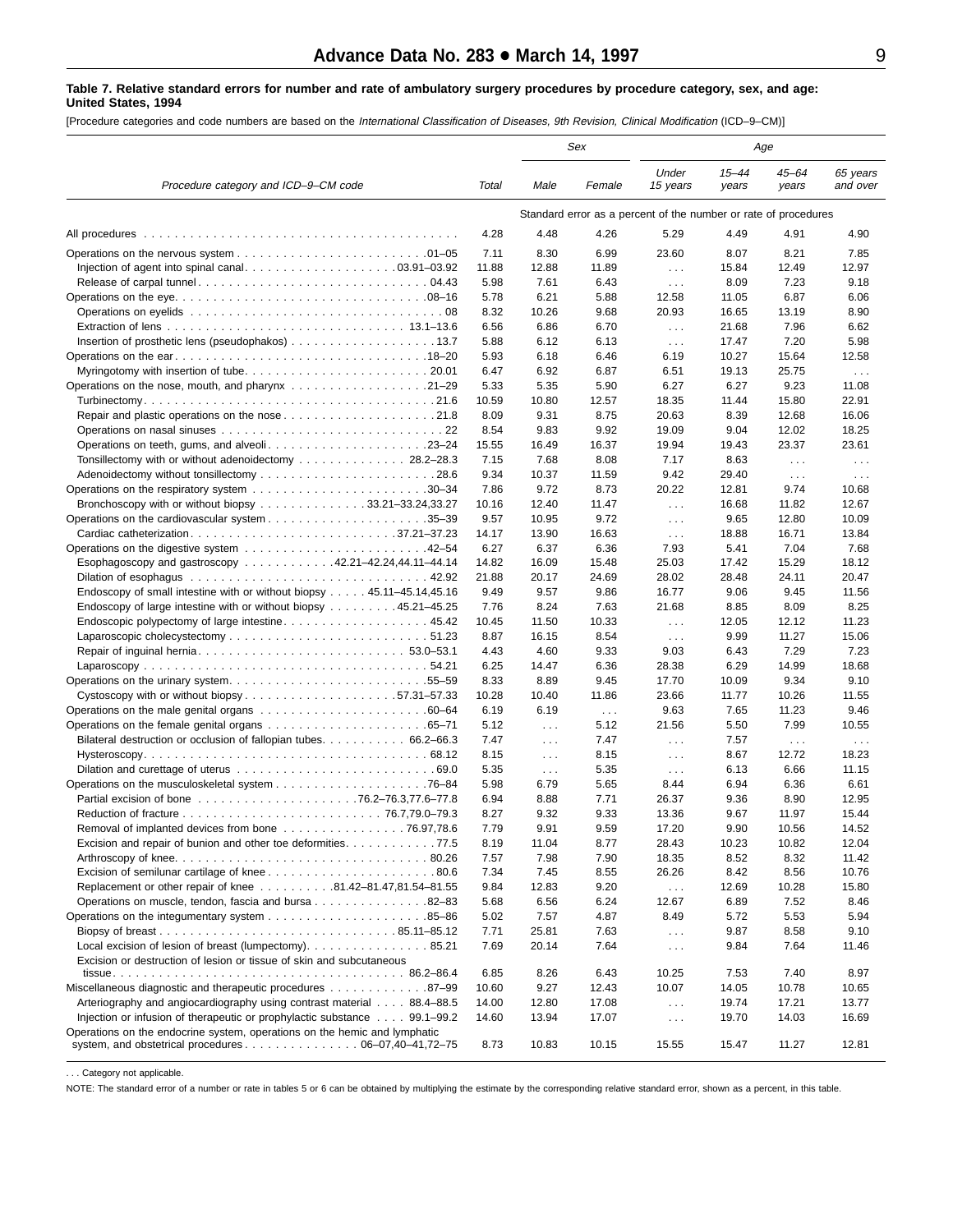#### <span id="page-8-0"></span>**Table 7. Relative standard errors for number and rate of ambulatory surgery procedures by procedure category, sex, and age: United States, 1994**

[Procedure categories and code numbers are based on the International Classification of Diseases, 9th Revision, Clinical Modification (ICD–9–CM)]

|                                                                                                                                                                               |              |               | Sex          |                                                                 |                    | Age                  |                      |
|-------------------------------------------------------------------------------------------------------------------------------------------------------------------------------|--------------|---------------|--------------|-----------------------------------------------------------------|--------------------|----------------------|----------------------|
| Procedure category and ICD-9-CM code                                                                                                                                          | Total        | Male          | Female       | Under<br>15 years                                               | $15 - 44$<br>years | $45 - 64$<br>years   | 65 years<br>and over |
|                                                                                                                                                                               |              |               |              | Standard error as a percent of the number or rate of procedures |                    |                      |                      |
| All procedures                                                                                                                                                                | 4.28         | 4.48          | 4.26         | 5.29                                                            | 4.49               | 4.91                 | 4.90                 |
| Operations on the nervous system $\ldots \ldots \ldots \ldots \ldots \ldots \ldots \ldots \ldots 01-05$                                                                       | 7.11         | 8.30          | 6.99         | 23.60                                                           | 8.07               | 8.21                 | 7.85                 |
| Injection of agent into spinal canal03.91–03.92                                                                                                                               | 11.88        | 12.88         | 11.89        | $\sim$ $\sim$ $\sim$                                            | 15.84              | 12.49                | 12.97                |
|                                                                                                                                                                               | 5.98         | 7.61          | 6.43         | $\cdots$                                                        | 8.09               | 7.23                 | 9.18                 |
|                                                                                                                                                                               | 5.78         | 6.21          | 5.88         | 12.58                                                           | 11.05              | 6.87                 | 6.06                 |
|                                                                                                                                                                               | 8.32         | 10.26         | 9.68         | 20.93                                                           | 16.65              | 13.19                | 8.90                 |
|                                                                                                                                                                               | 6.56         | 6.86          | 6.70         | $\sim$ $\sim$ $\sim$                                            | 21.68              | 7.96                 | 6.62                 |
|                                                                                                                                                                               | 5.88         | 6.12          | 6.13         | $\sim 100$                                                      | 17.47              | 7.20                 | 5.98                 |
|                                                                                                                                                                               | 5.93         | 6.18          | 6.46         | 6.19                                                            | 10.27              | 15.64                | 12.58                |
|                                                                                                                                                                               | 6.47<br>5.33 | 6.92<br>5.35  | 6.87<br>5.90 | 6.51<br>6.27                                                    | 19.13<br>6.27      | 25.75<br>9.23        | $\sim 100$<br>11.08  |
| Operations on the nose, mouth, and pharynx 21–29                                                                                                                              | 10.59        | 10.80         | 12.57        | 18.35                                                           | 11.44              | 15.80                | 22.91                |
|                                                                                                                                                                               | 8.09         | 9.31          | 8.75         | 20.63                                                           | 8.39               | 12.68                | 16.06                |
|                                                                                                                                                                               | 8.54         | 9.83          | 9.92         | 19.09                                                           | 9.04               | 12.02                | 18.25                |
| Operations on teeth, gums, and alveoli23–24                                                                                                                                   | 15.55        | 16.49         | 16.37        | 19.94                                                           | 19.43              | 23.37                | 23.61                |
| Tonsillectomy with or without adenoidectomy 28.2–28.3                                                                                                                         | 7.15         | 7.68          | 8.08         | 7.17                                                            | 8.63               | $\sim 100$           | $\sim 10$ .          |
|                                                                                                                                                                               | 9.34         | 10.37         | 11.59        | 9.42                                                            | 29.40              | $\sim$ $\sim$ $\sim$ | $\sim$ $\sim$ $\sim$ |
|                                                                                                                                                                               | 7.86         | 9.72          | 8.73         | 20.22                                                           | 12.81              | 9.74                 | 10.68                |
| Bronchoscopy with or without biopsy 33.21–33.24,33.27                                                                                                                         | 10.16        | 12.40         | 11.47        | $\sim$ $\sim$ $\sim$                                            | 16.68              | 11.82                | 12.67                |
|                                                                                                                                                                               | 9.57         | 10.95         | 9.72         | $\cdots$                                                        | 9.65               | 12.80                | 10.09                |
|                                                                                                                                                                               | 14.17        | 13.90         | 16.63        | $\sim 100$                                                      | 18.88              | 16.71                | 13.84                |
|                                                                                                                                                                               | 6.27         | 6.37          | 6.36         | 7.93                                                            | 5.41               | 7.04                 | 7.68                 |
| Esophagoscopy and gastroscopy 42.21-42.24,44.11-44.14                                                                                                                         | 14.82        | 16.09         | 15.48        | 25.03                                                           | 17.42              | 15.29                | 18.12                |
|                                                                                                                                                                               | 21.88        | 20.17         | 24.69        | 28.02                                                           | 28.48              | 24.11                | 20.47                |
| Endoscopy of small intestine with or without biopsy $\dots$ . 45.11–45.14,45.16                                                                                               | 9.49         | 9.57          | 9.86         | 16.77                                                           | 9.06               | 9.45                 | 11.56                |
| Endoscopy of large intestine with or without biopsy 45.21–45.25                                                                                                               | 7.76         | 8.24          | 7.63         | 21.68                                                           | 8.85               | 8.09                 | 8.25                 |
| Endoscopic polypectomy of large intestine 45.42                                                                                                                               | 10.45        | 11.50         | 10.33        | $\sim 100$                                                      | 12.05              | 12.12                | 11.23                |
|                                                                                                                                                                               | 8.87<br>4.43 | 16.15<br>4.60 | 8.54<br>9.33 | $\cdots$                                                        | 9.99               | 11.27<br>7.29        | 15.06<br>7.23        |
|                                                                                                                                                                               | 6.25         | 14.47         | 6.36         | 9.03<br>28.38                                                   | 6.43<br>6.29       | 14.99                | 18.68                |
| Operations on the urinary system55–59                                                                                                                                         | 8.33         | 8.89          | 9.45         | 17.70                                                           | 10.09              | 9.34                 | 9.10                 |
| Cystoscopy with or without biopsy57.31-57.33                                                                                                                                  | 10.28        | 10.40         | 11.86        | 23.66                                                           | 11.77              | 10.26                | 11.55                |
| Operations on the male genital organs 60–64                                                                                                                                   | 6.19         | 6.19          | $\sim 100$   | 9.63                                                            | 7.65               | 11.23                | 9.46                 |
|                                                                                                                                                                               | 5.12         | $\cdots$      | 5.12         | 21.56                                                           | 5.50               | 7.99                 | 10.55                |
| Bilateral destruction or occlusion of fallopian tubes 66.2–66.3                                                                                                               | 7.47         | $\cdots$      | 7.47         | $\cdots$                                                        | 7.57               | $\sim$ $\sim$ $\sim$ | $\sim$ $\sim$ $\sim$ |
|                                                                                                                                                                               | 8.15         | $\cdots$      | 8.15         | $\sim$ $\sim$ $\sim$                                            | 8.67               | 12.72                | 18.23                |
|                                                                                                                                                                               | 5.35         | $\cdots$      | 5.35         | $\sim$ $\sim$ $\sim$                                            | 6.13               | 6.66                 | 11.15                |
|                                                                                                                                                                               | 5.98         | 6.79          | 5.65         | 8.44                                                            | 6.94               | 6.36                 | 6.61                 |
|                                                                                                                                                                               | 6.94         | 8.88          | 7.71         | 26.37                                                           | 9.36               | 8.90                 | 12.95                |
|                                                                                                                                                                               | 8.27         | 9.32          | 9.33         | 13.36                                                           | 9.67               | 11.97                | 15.44                |
| Removal of implanted devices from bone 76.97,78.6                                                                                                                             | 7.79         | 9.91          | 9.59         | 17.20                                                           | 9.90               | 10.56                | 14.52                |
| Excision and repair of bunion and other toe deformities. 77.5                                                                                                                 | 8.19         | 11.04         | 8.77         | 28.43                                                           | 10.23              | 10.82                | 12.04                |
|                                                                                                                                                                               | 7.57<br>7.34 | 7.98<br>7.45  | 7.90<br>8.55 | 18.35<br>26.26                                                  | 8.52<br>8.42       | 8.32<br>8.56         | 11.42<br>10.76       |
| Replacement or other repair of knee 81.42-81.47,81.54-81.55                                                                                                                   | 9.84         | 12.83         | 9.20         |                                                                 | 12.69              | 10.28                | 15.80                |
| Operations on muscle, tendon, fascia and bursa 82-83                                                                                                                          | 5.68         | 6.56          | 6.24         | $\sim 100$<br>12.67                                             | 6.89               | 7.52                 | 8.46                 |
|                                                                                                                                                                               | 5.02         | 7.57          | 4.87         | 8.49                                                            | 5.72               | 5.53                 | 5.94                 |
|                                                                                                                                                                               | 7.71         | 25.81         | 7.63         | $\sim 100$                                                      | 9.87               | 8.58                 | 9.10                 |
| Local excision of lesion of breast (lumpectomy). 85.21                                                                                                                        | 7.69         | 20.14         | 7.64         | $\sim 100$                                                      | 9.84               | 7.64                 | 11.46                |
| Excision or destruction of lesion or tissue of skin and subcutaneous                                                                                                          |              |               |              |                                                                 |                    |                      |                      |
|                                                                                                                                                                               | 6.85         | 8.26          | 6.43         | 10.25                                                           | 7.53               | 7.40                 | 8.97                 |
| Miscellaneous diagnostic and therapeutic procedures 87–99                                                                                                                     | 10.60        | 9.27          | 12.43        | 10.07                                                           | 14.05              | 10.78                | 10.65                |
| Arteriography and angiocardiography using contrast material 88.4–88.5                                                                                                         | 14.00        | 12.80         | 17.08        | $\sim 100$                                                      | 19.74              | 17.21                | 13.77                |
| Injection or infusion of therapeutic or prophylactic substance 99.1–99.2                                                                                                      | 14.60        | 13.94         | 17.07        | $\sim$ $\sim$ $\sim$                                            | 19.70              | 14.03                | 16.69                |
| Operations on the endocrine system, operations on the hemic and lymphatic<br>system, and obstetrical procedures $\ldots \ldots \ldots \ldots \ldots \ldots 06-07,40-41,72-75$ | 8.73         | 10.83         | 10.15        | 15.55                                                           | 15.47              | 11.27                | 12.81                |

. . . Category not applicable.

NOTE: The standard error of a number or rate in tables 5 or 6 can be obtained by multiplying the estimate by the corresponding relative standard error, shown as a percent, in this table.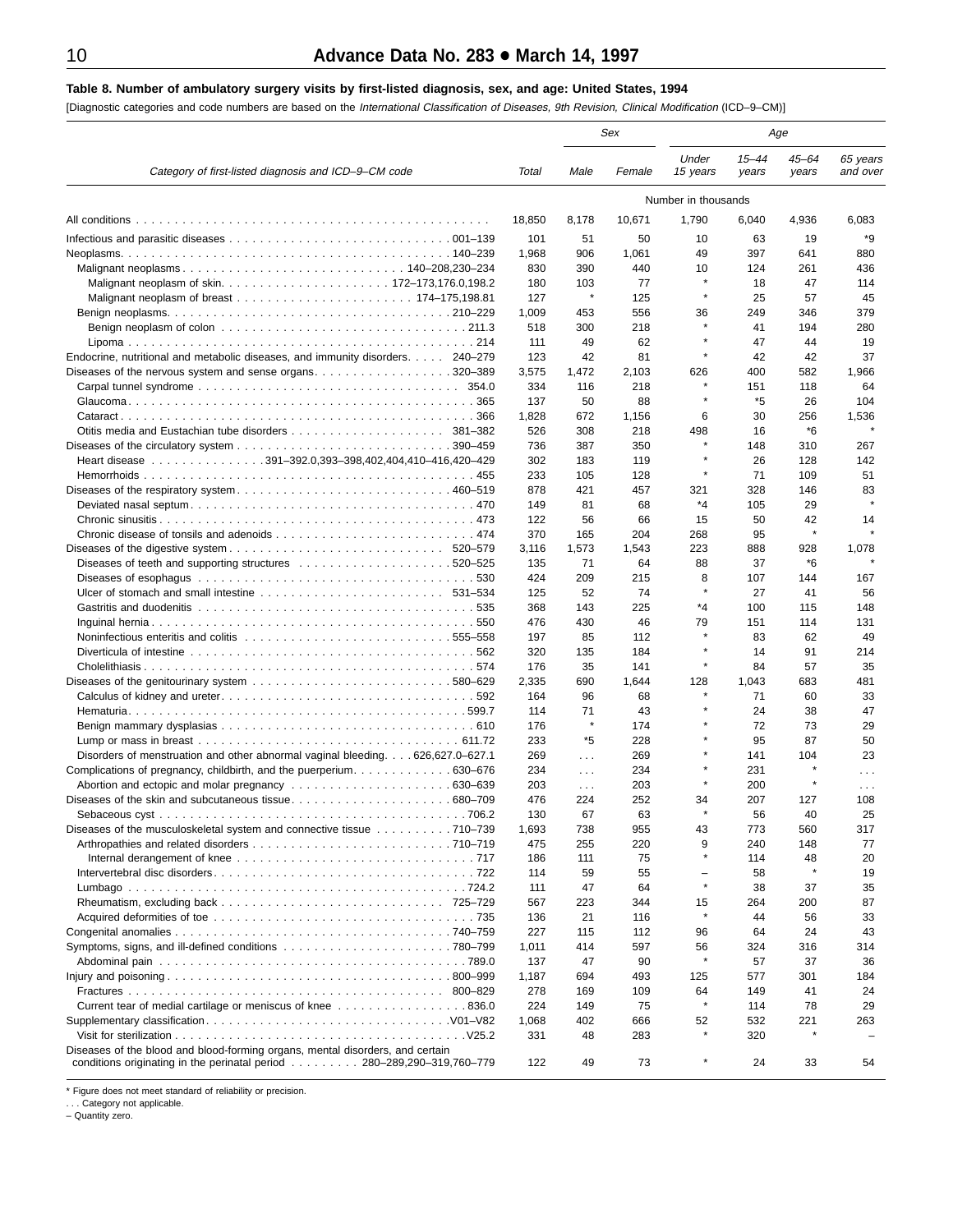# <span id="page-9-0"></span>**Table 8. Number of ambulatory surgery visits by first-listed diagnosis, sex, and age: United States, 1994**

[Diagnostic categories and code numbers are based on the International Classification of Diseases, 9th Revision, Clinical Modification (ICD–9–CM)]

|                                                                                               |              | Sex          |            | Age                 |                    |                    |                      |
|-----------------------------------------------------------------------------------------------|--------------|--------------|------------|---------------------|--------------------|--------------------|----------------------|
| Category of first-listed diagnosis and ICD-9-CM code                                          | Total        | Male         | Female     | Under<br>15 years   | $15 - 44$<br>years | $45 - 64$<br>years | 65 years<br>and over |
|                                                                                               |              |              |            | Number in thousands |                    |                    |                      |
|                                                                                               | 18,850       | 8,178        | 10,671     | 1,790               | 6,040              | 4,936              | 6,083                |
|                                                                                               | 101          | 51           | 50         | 10                  | 63                 | 19                 | *9                   |
|                                                                                               | 1,968        | 906          | 1,061      | 49                  | 397                | 641                | 880                  |
|                                                                                               | 830          | 390          | 440        | 10                  | 124                | 261                | 436                  |
|                                                                                               | 180          | 103          | 77         | $\star$             | 18                 | 47                 | 114                  |
|                                                                                               | 127          | $\pmb{\ast}$ | 125        | $\star$             | 25                 | 57                 | 45                   |
|                                                                                               | 1,009        | 453          | 556        | 36                  | 249                | 346                | 379                  |
|                                                                                               | 518          | 300          | 218        |                     | 41                 | 194                | 280                  |
|                                                                                               | 111          | 49           | 62         |                     | 47                 | 44                 | 19                   |
| Endocrine, nutritional and metabolic diseases, and immunity disorders. 240–279                | 123          | 42           | 81         | $\star$             | 42                 | 42                 | 37                   |
| Diseases of the nervous system and sense organs. 320–389                                      | 3,575        | 1,472        | 2,103      | 626                 | 400                | 582                | 1,966                |
|                                                                                               | 334<br>137   | 116<br>50    | 218<br>88  |                     | 151<br>*5          | 118<br>26          | 64<br>104            |
|                                                                                               | 1,828        | 672          | 1,156      | 6                   | 30                 | 256                | 1,536                |
|                                                                                               | 526          | 308          | 218        | 498                 | 16                 | *6                 |                      |
|                                                                                               | 736          | 387          | 350        |                     | 148                | 310                | 267                  |
| Heart disease 391-392.0,393-398,402,404,410-416,420-429                                       | 302          | 183          | 119        |                     | 26                 | 128                | 142                  |
|                                                                                               | 233          | 105          | 128        | $\star$             | 71                 | 109                | 51                   |
|                                                                                               | 878          | 421          | 457        | 321                 | 328                | 146                | 83                   |
|                                                                                               | 149          | 81           | 68         | *4                  | 105                | 29                 | $\star$              |
|                                                                                               | 122          | 56           | 66         | 15                  | 50                 | 42                 | 14                   |
|                                                                                               | 370          | 165          | 204        | 268                 | 95                 | $\star$            |                      |
|                                                                                               | 3,116        | 1,573        | 1,543      | 223                 | 888                | 928                | 1,078                |
|                                                                                               | 135          | 71           | 64         | 88                  | 37                 | *6                 |                      |
|                                                                                               | 424          | 209          | 215        | 8                   | 107                | 144                | 167                  |
|                                                                                               | 125          | 52           | 74         |                     | 27                 | 41                 | 56                   |
|                                                                                               | 368          | 143          | 225        | *4                  | 100                | 115                | 148                  |
|                                                                                               | 476          | 430          | 46         | 79                  | 151                | 114                | 131                  |
|                                                                                               | 197          | 85           | 112        | $\star$             | 83                 | 62                 | 49                   |
|                                                                                               | 320          | 135          | 184        |                     | 14                 | 91                 | 214                  |
|                                                                                               | 176          | 35           | 141        | $\star$             | 84                 | 57                 | 35                   |
|                                                                                               | 2,335        | 690          | 1,644      | 128                 | 1,043              | 683                | 481                  |
|                                                                                               | 164          | 96           | 68         |                     | 71                 | 60                 | 33                   |
|                                                                                               | 114          | 71<br>×      | 43         |                     | 24                 | 38                 | 47                   |
|                                                                                               | 176<br>233   | *5           | 174<br>228 |                     | 72<br>95           | 73<br>87           | 29<br>50             |
| Disorders of menstruation and other abnormal vaginal bleeding 626,627.0–627.1                 | 269          | $\sim 100$   | 269        |                     | 141                | 104                | 23                   |
|                                                                                               | 234          | $\sim 100$   | 234        |                     | 231                |                    | $\cdots$             |
|                                                                                               | 203          | $\sim 100$   | 203        |                     | 200                |                    | $\sim$ $\sim$        |
|                                                                                               | 476          | 224          | 252        | 34                  | 207                | 127                | 108                  |
|                                                                                               | 130          | 67           | 63         |                     | 56                 | 40                 | 25                   |
| Diseases of the musculoskeletal system and connective tissue 710–739                          | 1,693        | 738          | 955        | 43                  | 773                | 560                | 317                  |
|                                                                                               | 475          | 255          | 220        | 9                   | 240                | 148                | 77                   |
|                                                                                               | 186          | 111          | 75         |                     | 114                | 48                 | 20                   |
|                                                                                               | 114          | 59           | 55         |                     | 58                 |                    | 19                   |
|                                                                                               | 111          | 47           | 64         | $\star$             | 38                 | 37                 | 35                   |
|                                                                                               | 567          | 223          | 344        | 15                  | 264                | 200                | 87                   |
|                                                                                               | 136          | 21           | 116        | $\star$             | 44                 | 56                 | 33                   |
|                                                                                               | 227          | 115          | 112        | 96                  | 64                 | 24                 | 43                   |
|                                                                                               | 1,011        | 414          | 597        | 56                  | 324                | 316                | 314                  |
|                                                                                               | 137          | 47           | 90         |                     | 57                 | 37                 | 36                   |
|                                                                                               | 1,187        | 694          | 493        | 125                 | 577                | 301                | 184                  |
|                                                                                               | 278          | 169          | 109        | 64                  | 149                | 41                 | 24                   |
| Current tear of medial cartilage or meniscus of knee 836.0                                    | 224<br>1,068 | 149<br>402   | 75<br>666  | 52                  | 114<br>532         | 78<br>221          | 29<br>263            |
|                                                                                               | 331          | 48           | 283        |                     | 320                |                    |                      |
| Diseases of the blood and blood-forming organs, mental disorders, and certain                 |              |              |            |                     |                    |                    |                      |
| conditions originating in the perinatal period $\ldots \ldots \ldots 280-289,290-319,760-779$ | 122          | 49           | 73         | $\ast$              | 24                 | 33                 | 54                   |

\* Figure does not meet standard of reliability or precision.

. . . Category not applicable. – Quantity zero.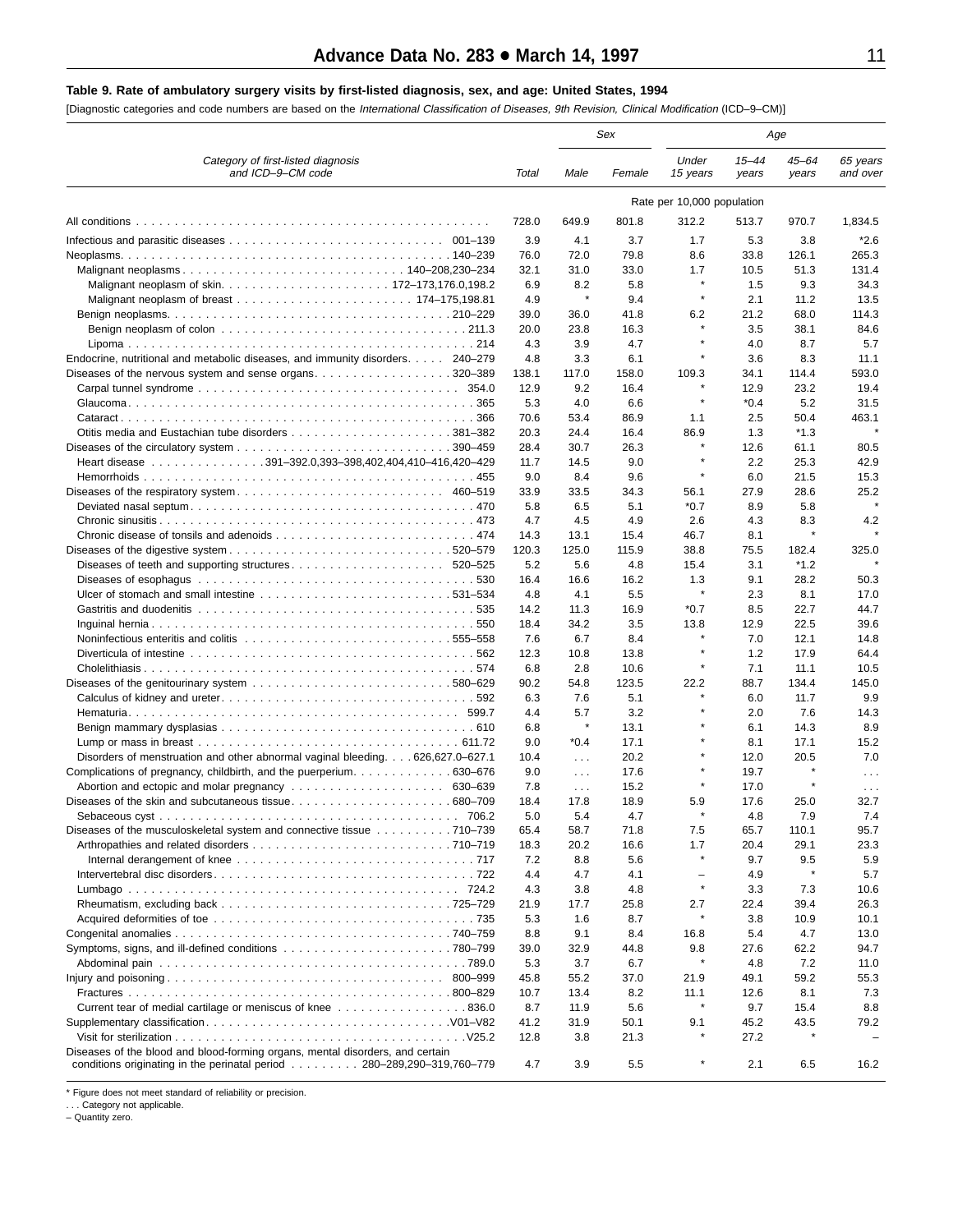#### <span id="page-10-0"></span>**Table 9. Rate of ambulatory surgery visits by first-listed diagnosis, sex, and age: United States, 1994**

[Diagnostic categories and code numbers are based on the International Classification of Diseases, 9th Revision, Clinical Modification (ICD–9–CM)]

|                                                                                                                                                           |             |                      | Sex         |                            | Age                |                    |                      |  |
|-----------------------------------------------------------------------------------------------------------------------------------------------------------|-------------|----------------------|-------------|----------------------------|--------------------|--------------------|----------------------|--|
| Category of first-listed diagnosis<br>and ICD-9-CM code                                                                                                   | Total       | Male                 | Female      | Under<br>15 years          | $15 - 44$<br>years | $45 - 64$<br>years | 65 years<br>and over |  |
|                                                                                                                                                           |             |                      |             | Rate per 10,000 population |                    |                    |                      |  |
|                                                                                                                                                           | 728.0       | 649.9                | 801.8       | 312.2                      | 513.7              | 970.7              | 1,834.5              |  |
|                                                                                                                                                           | 3.9         | 4.1                  | 3.7         | 1.7                        | 5.3                | 3.8                | *2.6                 |  |
|                                                                                                                                                           | 76.0        | 72.0                 | 79.8        | 8.6                        | 33.8               | 126.1              | 265.3                |  |
|                                                                                                                                                           | 32.1        | 31.0                 | 33.0        | 1.7                        | 10.5               | 51.3               | 131.4                |  |
|                                                                                                                                                           | 6.9         | 8.2                  | 5.8         | $\star$                    | 1.5                | 9.3                | 34.3                 |  |
|                                                                                                                                                           | 4.9         | $\pmb{\ast}$         | 9.4         | $\star$                    | 2.1                | 11.2               | 13.5                 |  |
|                                                                                                                                                           | 39.0        | 36.0                 | 41.8        | 6.2                        | 21.2               | 68.0               | 114.3                |  |
|                                                                                                                                                           | 20.0        | 23.8                 | 16.3        | $\star$                    | 3.5                | 38.1               | 84.6                 |  |
|                                                                                                                                                           | 4.3         | 3.9                  | 4.7         | $\star$                    | 4.0                | 8.7                | 5.7                  |  |
| Endocrine, nutritional and metabolic diseases, and immunity disorders. 240–279                                                                            | 4.8         | 3.3                  | 6.1         | $\star$                    | 3.6                | 8.3                | 11.1                 |  |
| Diseases of the nervous system and sense organs320–389                                                                                                    | 138.1       | 117.0                | 158.0       | 109.3                      | 34.1               | 114.4              | 593.0                |  |
|                                                                                                                                                           | 12.9        | 9.2                  | 16.4        | $\star$                    | 12.9               | 23.2               | 19.4                 |  |
|                                                                                                                                                           | 5.3         | 4.0                  | 6.6         | $\star$                    | $*0.4$             | 5.2                | 31.5                 |  |
|                                                                                                                                                           | 70.6        | 53.4                 | 86.9        | 1.1                        | 2.5                | 50.4               | 463.1<br>$\star$     |  |
|                                                                                                                                                           | 20.3        | 24.4                 | 16.4        | 86.9<br>×                  | 1.3                | $*1.3$             |                      |  |
|                                                                                                                                                           | 28.4        | 30.7                 | 26.3        | $\star$                    | 12.6               | 61.1               | 80.5                 |  |
| Heart disease 391–392.0,393–398,402,404,410–416,420–429                                                                                                   | 11.7        | 14.5                 | 9.0         | $\star$                    | 2.2                | 25.3               | 42.9                 |  |
|                                                                                                                                                           | 9.0<br>33.9 | 8.4<br>33.5          | 9.6<br>34.3 | 56.1                       | 6.0<br>27.9        | 21.5<br>28.6       | 15.3<br>25.2         |  |
|                                                                                                                                                           | 5.8         | 6.5                  | 5.1         | $*0.7$                     | 8.9                | 5.8                | $\star$              |  |
|                                                                                                                                                           | 4.7         | 4.5                  | 4.9         | 2.6                        | 4.3                | 8.3                | 4.2                  |  |
|                                                                                                                                                           | 14.3        | 13.1                 | 15.4        | 46.7                       | 8.1                | $\star$            |                      |  |
|                                                                                                                                                           | 120.3       | 125.0                | 115.9       | 38.8                       | 75.5               | 182.4              | 325.0                |  |
|                                                                                                                                                           | 5.2         | 5.6                  | 4.8         | 15.4                       | 3.1                | $*1.2$             |                      |  |
| 530                                                                                                                                                       | 16.4        | 16.6                 | 16.2        | 1.3                        | 9.1                | 28.2               | 50.3                 |  |
| Ulcer of stomach and small intestine 531–534                                                                                                              | 4.8         | 4.1                  | 5.5         | $\pmb{\ast}$               | 2.3                | 8.1                | 17.0                 |  |
|                                                                                                                                                           | 14.2        | 11.3                 | 16.9        | *0.7                       | 8.5                | 22.7               | 44.7                 |  |
|                                                                                                                                                           | 18.4        | 34.2                 | 3.5         | 13.8                       | 12.9               | 22.5               | 39.6                 |  |
|                                                                                                                                                           | 7.6         | 6.7                  | 8.4         |                            | 7.0                | 12.1               | 14.8                 |  |
|                                                                                                                                                           | 12.3        | 10.8                 | 13.8        | $\star$                    | 1.2                | 17.9               | 64.4                 |  |
|                                                                                                                                                           | 6.8         | 2.8                  | 10.6        | $\star$                    | 7.1                | 11.1               | 10.5                 |  |
|                                                                                                                                                           | 90.2        | 54.8                 | 123.5       | 22.2                       | 88.7               | 134.4              | 145.0                |  |
|                                                                                                                                                           | 6.3         | 7.6                  | 5.1         | $\star$                    | 6.0                | 11.7               | 9.9                  |  |
|                                                                                                                                                           | 4.4         | 5.7                  | 3.2         | $\star$                    | 2.0                | 7.6                | 14.3                 |  |
|                                                                                                                                                           | 6.8         | $\ast$               | 13.1        | $\star$                    | 6.1                | 14.3               | 8.9                  |  |
|                                                                                                                                                           | 9.0         | $*0.4$               | 17.1        | $\star$                    | 8.1                | 17.1               | 15.2                 |  |
| Disorders of menstruation and other abnormal vaginal bleeding 626,627.0–627.1                                                                             | 10.4        | $\sim$ $\sim$ $\sim$ | 20.2        | $\star$                    | 12.0               | 20.5               | 7.0                  |  |
| Complications of pregnancy, childbirth, and the puerperium. 630–676                                                                                       | 9.0         | $\sim 100$           | 17.6        | $\star$                    | 19.7               | $\star$            | $\cdots$             |  |
|                                                                                                                                                           | 7.8         | $\sim$ $\sim$ $\sim$ | 15.2        | $\star$                    | 17.0               | $\star$            | $\sim$ $\sim$ $\sim$ |  |
|                                                                                                                                                           | 18.4        | 17.8                 | 18.9        | 5.9<br>$\star$             | 17.6               | 25.0               | 32.7                 |  |
|                                                                                                                                                           | 5.0         | 5.4                  | 4.7         |                            | 4.8                | 7.9                | 7.4                  |  |
| Diseases of the musculoskeletal system and connective tissue 710–739                                                                                      | 65.4        | 58.7                 | 71.8        | 7.5                        | 65.7               | 110.1              | 95.7                 |  |
|                                                                                                                                                           | 18.3        | 20.2                 | 16.6        | 1.7<br>$\star$             | 20.4               | 29.1               | 23.3                 |  |
|                                                                                                                                                           | 7.2<br>4.4  | 8.8<br>4.7           | 5.6<br>4.1  | $\overline{\phantom{0}}$   | 9.7<br>4.9         | 9.5                | 5.9<br>5.7           |  |
|                                                                                                                                                           | 4.3         | 3.8                  | 4.8         | $\star$                    | 3.3                | 7.3                | 10.6                 |  |
|                                                                                                                                                           | 21.9        | 17.7                 | 25.8        | 2.7                        | 22.4               | 39.4               | 26.3                 |  |
|                                                                                                                                                           | 5.3         | 1.6                  | 8.7         |                            | 3.8                | 10.9               | 10.1                 |  |
|                                                                                                                                                           | 8.8         | 9.1                  | 8.4         | 16.8                       | 5.4                | 4.7                | 13.0                 |  |
|                                                                                                                                                           | 39.0        | 32.9                 | 44.8        | 9.8                        | 27.6               | 62.2               | 94.7                 |  |
|                                                                                                                                                           | 5.3         | 3.7                  | 6.7         |                            | 4.8                | 7.2                | 11.0                 |  |
|                                                                                                                                                           | 45.8        | 55.2                 | 37.0        | 21.9                       | 49.1               | 59.2               | 55.3                 |  |
|                                                                                                                                                           | 10.7        | 13.4                 | 8.2         | 11.1                       | 12.6               | 8.1                | 7.3                  |  |
| Current tear of medial cartilage or meniscus of knee 836.0                                                                                                | 8.7         | 11.9                 | 5.6         | $\star$                    | 9.7                | 15.4               | 8.8                  |  |
|                                                                                                                                                           | 41.2        | 31.9                 | 50.1        | 9.1                        | 45.2               | 43.5               | 79.2                 |  |
|                                                                                                                                                           | 12.8        | 3.8                  | 21.3        |                            | 27.2               |                    |                      |  |
| Diseases of the blood and blood-forming organs, mental disorders, and certain<br>conditions originating in the perinatal period 280–289, 290–319, 760–779 | 4.7         | 3.9                  | 5.5         | $\pmb{\ast}$               | 2.1                | 6.5                | 16.2                 |  |

\* Figure does not meet standard of reliability or precision.

. . . Category not applicable.

– Quantity zero.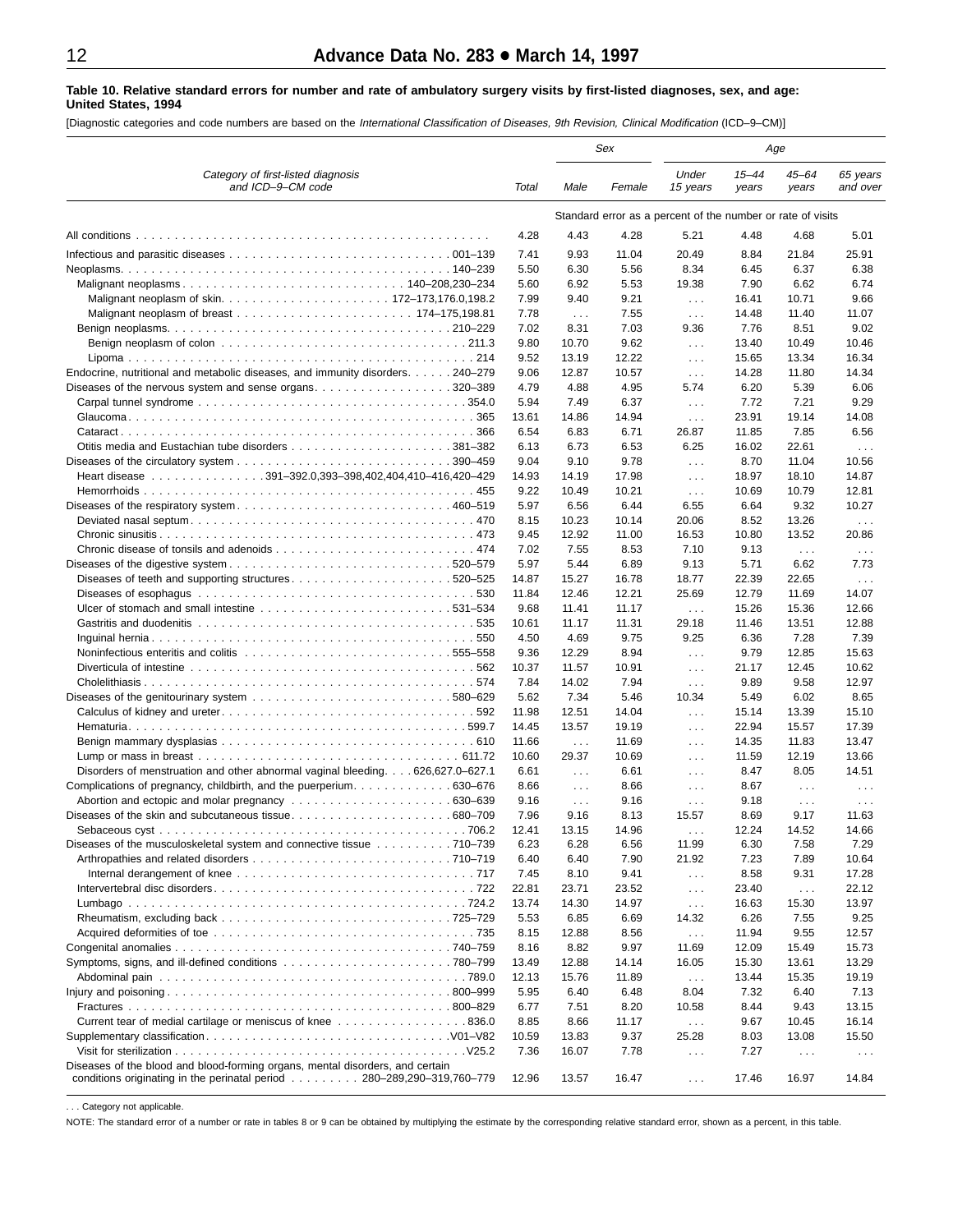#### <span id="page-11-0"></span>**Table 10. Relative standard errors for number and rate of ambulatory surgery visits by first-listed diagnoses, sex, and age: United States, 1994**

[Diagnostic categories and code numbers are based on the International Classification of Diseases, 9th Revision, Clinical Modification (ICD–9–CM)]

|                                                                                |               | Sex                      |               | Age                                                         |                    |                      |                                              |
|--------------------------------------------------------------------------------|---------------|--------------------------|---------------|-------------------------------------------------------------|--------------------|----------------------|----------------------------------------------|
| Category of first-listed diagnosis<br>and ICD-9-CM code                        | Total         | Male                     | Female        | Under<br>15 years                                           | $15 - 44$<br>years | $45 - 64$<br>years   | 65 years<br>and over                         |
|                                                                                |               |                          |               | Standard error as a percent of the number or rate of visits |                    |                      |                                              |
| All conditions                                                                 | 4.28          | 4.43                     | 4.28          | 5.21                                                        | 4.48               | 4.68                 | 5.01                                         |
|                                                                                | 7.41          | 9.93                     | 11.04         | 20.49                                                       | 8.84               | 21.84                | 25.91                                        |
|                                                                                | 5.50          | 6.30                     | 5.56          | 8.34                                                        | 6.45               | 6.37                 | 6.38                                         |
|                                                                                | 5.60          | 6.92                     | 5.53          | 19.38                                                       | 7.90               | 6.62                 | 6.74                                         |
|                                                                                | 7.99          | 9.40                     | 9.21          | $\sim$ $\sim$                                               | 16.41              | 10.71                | 9.66                                         |
|                                                                                | 7.78          | $\sim 100$               | 7.55          | $\sim$ $\sim$                                               | 14.48              | 11.40                | 11.07                                        |
|                                                                                | 7.02          | 8.31                     | 7.03          | 9.36                                                        | 7.76               | 8.51                 | 9.02                                         |
|                                                                                | 9.80          | 10.70                    | 9.62          | $\sim 100$                                                  | 13.40              | 10.49                | 10.46                                        |
|                                                                                | 9.52          | 13.19                    | 12.22         | $\sim 100$                                                  | 15.65              | 13.34                | 16.34                                        |
| Endocrine, nutritional and metabolic diseases, and immunity disorders. 240–279 | 9.06          | 12.87                    | 10.57         | $\sim 100$                                                  | 14.28              | 11.80                | 14.34                                        |
| Diseases of the nervous system and sense organs. 320–389                       | 4.79          | 4.88                     | 4.95          | 5.74                                                        | 6.20               | 5.39                 | 6.06                                         |
|                                                                                | 5.94          | 7.49                     | 6.37          | $\sim$ $\sim$                                               | 7.72               | 7.21                 | 9.29                                         |
|                                                                                | 13.61         | 14.86                    | 14.94         | $\sim 100$                                                  | 23.91              | 19.14                | 14.08                                        |
| 366                                                                            | 6.54          | 6.83                     | 6.71          | 26.87                                                       | 11.85              | 7.85<br>22.61        | 6.56                                         |
|                                                                                | 6.13<br>9.04  | 6.73<br>9.10             | 6.53<br>9.78  | 6.25                                                        | 16.02<br>8.70      | 11.04                | $\sim$ $\sim$<br>10.56                       |
| Heart disease 391-392.0,393-398,402,404,410-416,420-429                        | 14.93         | 14.19                    | 17.98         | $\sim 100$                                                  | 18.97              | 18.10                | 14.87                                        |
|                                                                                | 9.22          | 10.49                    | 10.21         | $\sim 100$<br>$\sim 100$                                    | 10.69              | 10.79                | 12.81                                        |
|                                                                                | 5.97          | 6.56                     | 6.44          | 6.55                                                        | 6.64               | 9.32                 | 10.27                                        |
|                                                                                | 8.15          | 10.23                    | 10.14         | 20.06                                                       | 8.52               | 13.26                | $\sim$ $\sim$ $\sim$                         |
|                                                                                | 9.45          | 12.92                    | 11.00         | 16.53                                                       | 10.80              | 13.52                | 20.86                                        |
|                                                                                | 7.02          | 7.55                     | 8.53          | 7.10                                                        | 9.13               | $\sim 100$           | $\sim$ $\sim$ $\sim$                         |
|                                                                                | 5.97          | 5.44                     | 6.89          | 9.13                                                        | 5.71               | 6.62                 | 7.73                                         |
| Diseases of teeth and supporting structures520–525                             | 14.87         | 15.27                    | 16.78         | 18.77                                                       | 22.39              | 22.65                | $\sim$ $\sim$ $\sim$                         |
|                                                                                | 11.84         | 12.46                    | 12.21         | 25.69                                                       | 12.79              | 11.69                | 14.07                                        |
|                                                                                | 9.68          | 11.41                    | 11.17         | $\sim 100$                                                  | 15.26              | 15.36                | 12.66                                        |
|                                                                                | 10.61         | 11.17                    | 11.31         | 29.18                                                       | 11.46              | 13.51                | 12.88                                        |
|                                                                                | 4.50          | 4.69                     | 9.75          | 9.25                                                        | 6.36               | 7.28                 | 7.39                                         |
| Noninfectious enteritis and colitis 555–558                                    | 9.36          | 12.29                    | 8.94          | $\sim 100$                                                  | 9.79               | 12.85                | 15.63                                        |
|                                                                                | 10.37         | 11.57                    | 10.91         | $\sim$                                                      | 21.17              | 12.45                | 10.62                                        |
|                                                                                | 7.84          | 14.02                    | 7.94          | $\sim$                                                      | 9.89               | 9.58                 | 12.97                                        |
|                                                                                | 5.62          | 7.34                     | 5.46          | 10.34                                                       | 5.49               | 6.02                 | 8.65                                         |
|                                                                                | 11.98         | 12.51                    | 14.04         | $\ldots$                                                    | 15.14              | 13.39                | 15.10                                        |
|                                                                                | 14.45         | 13.57                    | 19.19         | $\sim 100$                                                  | 22.94              | 15.57                | 17.39                                        |
|                                                                                | 11.66         | $\sim 100$               | 11.69         | $\sim$ $\sim$ $\sim$                                        | 14.35              | 11.83                | 13.47                                        |
| Disorders of menstruation and other abnormal vaginal bleeding 626,627.0–627.1  | 10.60<br>6.61 | 29.37                    | 10.69<br>6.61 | $\sim 100$                                                  | 11.59<br>8.47      | 12.19<br>8.05        | 13.66<br>14.51                               |
| Complications of pregnancy, childbirth, and the puerperium. 630–676            | 8.66          | $\sim 100$<br>$\sim 100$ | 8.66          | $\sim$<br>$\sim 100$                                        | 8.67               | $\sim 100$           |                                              |
|                                                                                | 9.16          | $\sim 100$               | 9.16          | $\sim$ $\sim$ $\sim$                                        | 9.18               | $\sim$ $\sim$ $\sim$ | $\sim$ $\sim$ $\sim$<br>$\sim$ $\sim$ $\sim$ |
|                                                                                | 7.96          | 9.16                     | 8.13          | 15.57                                                       | 8.69               | 9.17                 | 11.63                                        |
|                                                                                | 12.41         | 13.15                    | 14.96         |                                                             | 12.24              | 14.52                | 14.66                                        |
| Diseases of the musculoskeletal system and connective tissue 710–739           | 6.23          | 6.28                     | 6.56          | 11.99                                                       | 6.30               | 7.58                 | 7.29                                         |
|                                                                                | 6.40          | 6.40                     | 7.90          | 21.92                                                       | 7.23               | 7.89                 | 10.64                                        |
|                                                                                | 7.45          | 8.10                     | 9.41          | $\sim$ $\sim$ $\sim$                                        | 8.58               | 9.31                 | 17.28                                        |
|                                                                                | 22.81         | 23.71                    | 23.52         | $\sim 100$                                                  | 23.40              | $\sim 100$           | 22.12                                        |
|                                                                                | 13.74         | 14.30                    | 14.97         | $\sim 100$                                                  | 16.63              | 15.30                | 13.97                                        |
|                                                                                | 5.53          | 6.85                     | 6.69          | 14.32                                                       | 6.26               | 7.55                 | 9.25                                         |
|                                                                                | 8.15          | 12.88                    | 8.56          | $\sim$ $\sim$                                               | 11.94              | 9.55                 | 12.57                                        |
|                                                                                | 8.16          | 8.82                     | 9.97          | 11.69                                                       | 12.09              | 15.49                | 15.73                                        |
|                                                                                | 13.49         | 12.88                    | 14.14         | 16.05                                                       | 15.30              | 13.61                | 13.29                                        |
|                                                                                | 12.13         | 15.76                    | 11.89         | $\sim$ $\sim$                                               | 13.44              | 15.35                | 19.19                                        |
|                                                                                | 5.95          | 6.40                     | 6.48          | 8.04                                                        | 7.32               | 6.40                 | 7.13                                         |
|                                                                                | 6.77          | 7.51                     | 8.20          | 10.58                                                       | 8.44               | 9.43                 | 13.15                                        |
| Current tear of medial cartilage or meniscus of knee 836.0                     | 8.85          | 8.66                     | 11.17         | $\sim 100$                                                  | 9.67               | 10.45                | 16.14                                        |
|                                                                                | 10.59         | 13.83                    | 9.37          | 25.28                                                       | 8.03               | 13.08                | 15.50                                        |
| Diseases of the blood and blood-forming organs, mental disorders, and certain  | 7.36          | 16.07                    | 7.78          | $\sim$                                                      | 7.27               | $\sim$ $\sim$ $\sim$ | $\sim$ $\sim$ $\sim$                         |
| conditions originating in the perinatal period 280–289,290–319,760–779         | 12.96         | 13.57                    | 16.47         | $\sim$                                                      | 17.46              | 16.97                | 14.84                                        |

. . . Category not applicable.

NOTE: The standard error of a number or rate in tables 8 or 9 can be obtained by multiplying the estimate by the corresponding relative standard error, shown as a percent, in this table.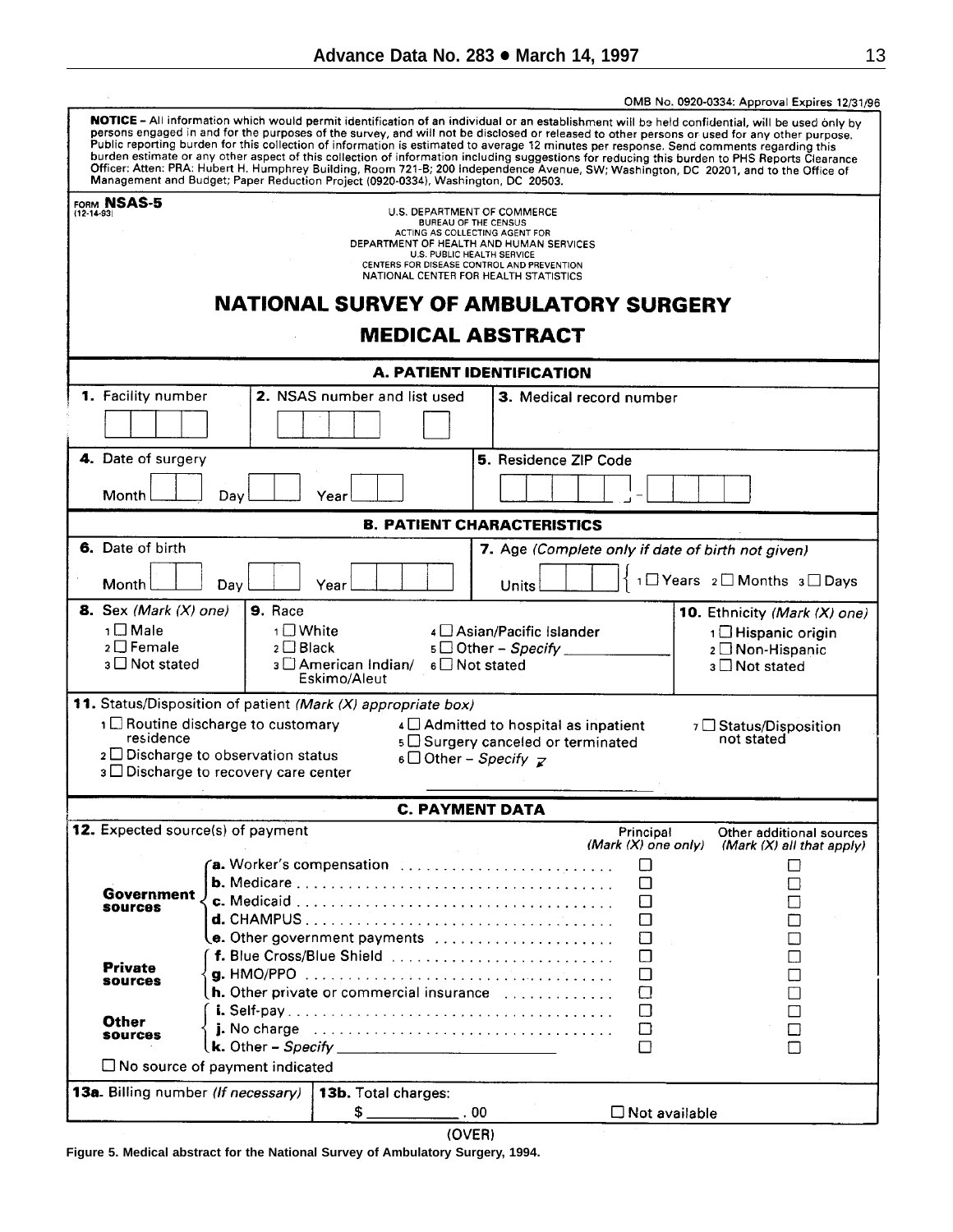<span id="page-12-0"></span>

|                                    |                                            |                                                                                     |     |                                                                                                                                          | OMB No. 0920-0334: Approval Expires 12/31/96                                                                                                                                                                                                                                                                                                                                                                                                                                                                                                                                              |  |  |  |
|------------------------------------|--------------------------------------------|-------------------------------------------------------------------------------------|-----|------------------------------------------------------------------------------------------------------------------------------------------|-------------------------------------------------------------------------------------------------------------------------------------------------------------------------------------------------------------------------------------------------------------------------------------------------------------------------------------------------------------------------------------------------------------------------------------------------------------------------------------------------------------------------------------------------------------------------------------------|--|--|--|
|                                    |                                            | Management and Budget; Paper Reduction Project (0920-0334), Washington, DC 20503.   |     | Public reporting burden for this collection of information is estimated to average 12 minutes per response. Send comments regarding this | NOTICE - All information which would permit identification of an individual or an establishment will be held confidential, will be used only by<br>persons engaged in and for the purposes of the survey, and will not be disclosed or released to other persons or used for any other purpose.<br>burden estimate or any other aspect of this collection of information including suggestions for reducing this burden to PHS Reports Clearance<br>Officer: Atten: PRA: Hubert H. Humphrey Building, Room 721-B; 200 Independence Avenue, SW; Washington, DC 20201, and to the Office of |  |  |  |
| FORM NSAS-5                        |                                            |                                                                                     |     |                                                                                                                                          |                                                                                                                                                                                                                                                                                                                                                                                                                                                                                                                                                                                           |  |  |  |
| $(12 - 14 - 93)$                   |                                            | U.S. DEPARTMENT OF COMMERCE<br><b>BUREAU OF THE CENSUS</b>                          |     |                                                                                                                                          |                                                                                                                                                                                                                                                                                                                                                                                                                                                                                                                                                                                           |  |  |  |
|                                    |                                            | ACTING AS COLLECTING AGENT FOR<br>DEPARTMENT OF HEALTH AND HUMAN SERVICES           |     |                                                                                                                                          |                                                                                                                                                                                                                                                                                                                                                                                                                                                                                                                                                                                           |  |  |  |
|                                    |                                            | <b>U.S. PUBLIC HEALTH SERVICE</b>                                                   |     |                                                                                                                                          |                                                                                                                                                                                                                                                                                                                                                                                                                                                                                                                                                                                           |  |  |  |
|                                    |                                            | CENTERS FOR DISEASE CONTROL AND PREVENTION<br>NATIONAL CENTER FOR HEALTH STATISTICS |     |                                                                                                                                          |                                                                                                                                                                                                                                                                                                                                                                                                                                                                                                                                                                                           |  |  |  |
|                                    |                                            |                                                                                     |     | <b>NATIONAL SURVEY OF AMBULATORY SURGERY</b>                                                                                             |                                                                                                                                                                                                                                                                                                                                                                                                                                                                                                                                                                                           |  |  |  |
| <b>MEDICAL ABSTRACT</b>            |                                            |                                                                                     |     |                                                                                                                                          |                                                                                                                                                                                                                                                                                                                                                                                                                                                                                                                                                                                           |  |  |  |
| <b>A. PATIENT IDENTIFICATION</b>   |                                            |                                                                                     |     |                                                                                                                                          |                                                                                                                                                                                                                                                                                                                                                                                                                                                                                                                                                                                           |  |  |  |
| 1. Facility number                 |                                            | 2. NSAS number and list used                                                        |     | 3. Medical record number                                                                                                                 |                                                                                                                                                                                                                                                                                                                                                                                                                                                                                                                                                                                           |  |  |  |
|                                    |                                            |                                                                                     |     |                                                                                                                                          |                                                                                                                                                                                                                                                                                                                                                                                                                                                                                                                                                                                           |  |  |  |
| 4. Date of surgery                 |                                            |                                                                                     |     | <b>5. Residence ZIP Code</b>                                                                                                             |                                                                                                                                                                                                                                                                                                                                                                                                                                                                                                                                                                                           |  |  |  |
|                                    |                                            |                                                                                     |     |                                                                                                                                          |                                                                                                                                                                                                                                                                                                                                                                                                                                                                                                                                                                                           |  |  |  |
| Month                              | Day                                        | Year                                                                                |     |                                                                                                                                          |                                                                                                                                                                                                                                                                                                                                                                                                                                                                                                                                                                                           |  |  |  |
| <b>B. PATIENT CHARACTERISTICS</b>  |                                            |                                                                                     |     |                                                                                                                                          |                                                                                                                                                                                                                                                                                                                                                                                                                                                                                                                                                                                           |  |  |  |
| 6. Date of birth                   |                                            |                                                                                     |     | 7. Age (Complete only if date of birth not given)                                                                                        |                                                                                                                                                                                                                                                                                                                                                                                                                                                                                                                                                                                           |  |  |  |
| Month                              | Day                                        | Year                                                                                |     | Units                                                                                                                                    | 1□ Years 2□ Months 3□ Days                                                                                                                                                                                                                                                                                                                                                                                                                                                                                                                                                                |  |  |  |
| <b>8.</b> Sex (Mark $(X)$ one)     | 9. Race                                    |                                                                                     |     |                                                                                                                                          | 10. Ethnicity (Mark (X) one)                                                                                                                                                                                                                                                                                                                                                                                                                                                                                                                                                              |  |  |  |
| 1□ Male                            | 1□ White                                   |                                                                                     |     | 4 Asian/Pacific Islander                                                                                                                 | 1□ Hispanic origin                                                                                                                                                                                                                                                                                                                                                                                                                                                                                                                                                                        |  |  |  |
| 2 □ Female                         | $2 \Box$ Black                             |                                                                                     |     | 5 □ Other - Specify                                                                                                                      | 2 □ Non-Hispanic                                                                                                                                                                                                                                                                                                                                                                                                                                                                                                                                                                          |  |  |  |
| $3 \Box$ Not stated                |                                            | 3 □ American Indian/<br>6 □ Not stated                                              |     |                                                                                                                                          | 3 □ Not stated                                                                                                                                                                                                                                                                                                                                                                                                                                                                                                                                                                            |  |  |  |
|                                    |                                            | Eskimo/Aleut                                                                        |     |                                                                                                                                          |                                                                                                                                                                                                                                                                                                                                                                                                                                                                                                                                                                                           |  |  |  |
|                                    |                                            | 11. Status/Disposition of patient (Mark (X) appropriate box)                        |     |                                                                                                                                          |                                                                                                                                                                                                                                                                                                                                                                                                                                                                                                                                                                                           |  |  |  |
|                                    | 1 <b>E</b> Routine discharge to customary  |                                                                                     |     | 4 Admitted to hospital as inpatient                                                                                                      | 7 □ Status/Disposition                                                                                                                                                                                                                                                                                                                                                                                                                                                                                                                                                                    |  |  |  |
| residence                          |                                            |                                                                                     |     | 5 □ Surgery canceled or terminated                                                                                                       | not stated                                                                                                                                                                                                                                                                                                                                                                                                                                                                                                                                                                                |  |  |  |
|                                    | $2 \Box$ Discharge to observation status   | $6\Box$ Other – Specify $\overline{z}$                                              |     |                                                                                                                                          |                                                                                                                                                                                                                                                                                                                                                                                                                                                                                                                                                                                           |  |  |  |
|                                    | $3 \Box$ Discharge to recovery care center |                                                                                     |     |                                                                                                                                          |                                                                                                                                                                                                                                                                                                                                                                                                                                                                                                                                                                                           |  |  |  |
|                                    |                                            | <b>C. PAYMENT DATA</b>                                                              |     |                                                                                                                                          |                                                                                                                                                                                                                                                                                                                                                                                                                                                                                                                                                                                           |  |  |  |
| 12. Expected source(s) of payment  |                                            |                                                                                     |     | Principal<br>(Mark (X) one only)                                                                                                         | Other additional sources<br>(Mark $(X)$ all that apply)                                                                                                                                                                                                                                                                                                                                                                                                                                                                                                                                   |  |  |  |
|                                    |                                            |                                                                                     |     | ப                                                                                                                                        |                                                                                                                                                                                                                                                                                                                                                                                                                                                                                                                                                                                           |  |  |  |
|                                    |                                            |                                                                                     |     | □                                                                                                                                        |                                                                                                                                                                                                                                                                                                                                                                                                                                                                                                                                                                                           |  |  |  |
| Government<br><b>SOUTCOS</b>       |                                            |                                                                                     |     | □                                                                                                                                        |                                                                                                                                                                                                                                                                                                                                                                                                                                                                                                                                                                                           |  |  |  |
|                                    |                                            |                                                                                     |     | П                                                                                                                                        |                                                                                                                                                                                                                                                                                                                                                                                                                                                                                                                                                                                           |  |  |  |
|                                    |                                            | $e.$ Other government payments $\ldots \ldots \ldots \ldots \ldots \ldots$          |     | □                                                                                                                                        |                                                                                                                                                                                                                                                                                                                                                                                                                                                                                                                                                                                           |  |  |  |
|                                    |                                            | f. Blue Cross/Blue Shield                                                           |     | П                                                                                                                                        |                                                                                                                                                                                                                                                                                                                                                                                                                                                                                                                                                                                           |  |  |  |
| <b>Private</b><br>sources          |                                            |                                                                                     |     | П                                                                                                                                        |                                                                                                                                                                                                                                                                                                                                                                                                                                                                                                                                                                                           |  |  |  |
|                                    |                                            | h. Other private or commercial insurance                                            |     | П                                                                                                                                        |                                                                                                                                                                                                                                                                                                                                                                                                                                                                                                                                                                                           |  |  |  |
| <b>Other</b>                       |                                            |                                                                                     |     | □                                                                                                                                        |                                                                                                                                                                                                                                                                                                                                                                                                                                                                                                                                                                                           |  |  |  |
| <b>SOUTCOS</b>                     |                                            |                                                                                     |     | □                                                                                                                                        |                                                                                                                                                                                                                                                                                                                                                                                                                                                                                                                                                                                           |  |  |  |
|                                    |                                            | ( <b>k.</b> Other – <i>Specify</i> _______________________________                  |     | П                                                                                                                                        |                                                                                                                                                                                                                                                                                                                                                                                                                                                                                                                                                                                           |  |  |  |
|                                    | $\Box$ No source of payment indicated      |                                                                                     |     |                                                                                                                                          |                                                                                                                                                                                                                                                                                                                                                                                                                                                                                                                                                                                           |  |  |  |
| 13a. Billing number (If necessary) |                                            | 13b. Total charges:                                                                 |     |                                                                                                                                          |                                                                                                                                                                                                                                                                                                                                                                                                                                                                                                                                                                                           |  |  |  |
|                                    |                                            | \$                                                                                  | .00 | $\Box$ Not available                                                                                                                     |                                                                                                                                                                                                                                                                                                                                                                                                                                                                                                                                                                                           |  |  |  |

(OVER)

**Figure 5. Medical abstract for the National Survey of Ambulatory Surgery, 1994.**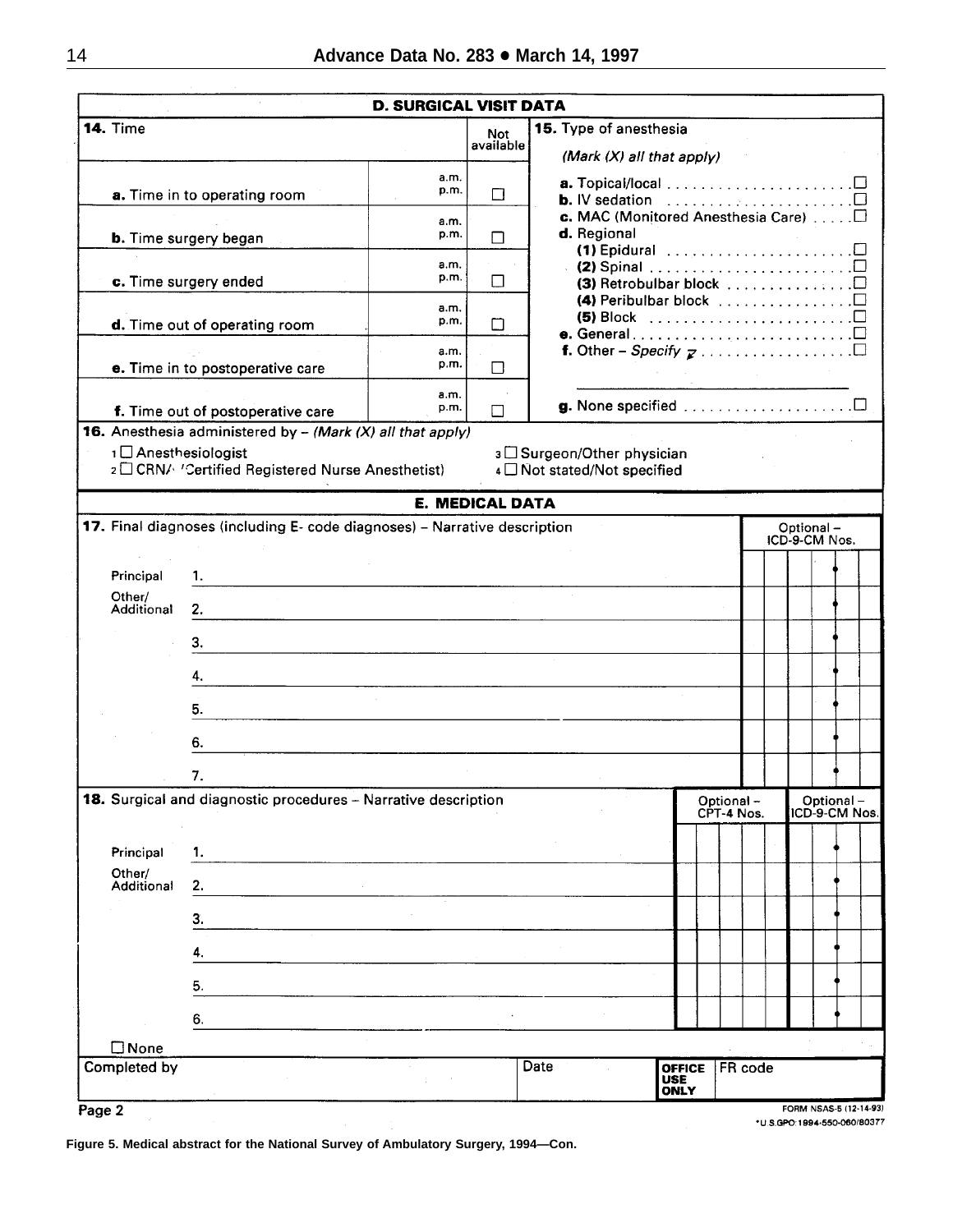|                                |                                                                           | <b>D. SURGICAL VISIT DATA</b> |                         |                                                                                                                                                                               |
|--------------------------------|---------------------------------------------------------------------------|-------------------------------|-------------------------|-------------------------------------------------------------------------------------------------------------------------------------------------------------------------------|
| <b>14. Time</b>                |                                                                           |                               | <b>Not</b><br>available | 15. Type of anesthesia                                                                                                                                                        |
|                                |                                                                           |                               |                         | (Mark $(X)$ all that apply)                                                                                                                                                   |
|                                | a. Time in to operating room                                              | a.m.<br>p.m.                  | П                       | <b>b.</b> IV sedation $\ldots \ldots \ldots \ldots \ldots \square$                                                                                                            |
|                                | <b>b.</b> Time surgery began                                              | a.m.<br>p.m.                  | П                       | d. Regional                                                                                                                                                                   |
|                                |                                                                           | a.m.                          |                         |                                                                                                                                                                               |
|                                | c. Time surgery ended                                                     | p.m.                          | П                       | $\cdot$ (2) Spinal $\ldots \ldots \ldots \ldots \ldots \ldots \ldots \square$<br>(3) Retrobulbar block $\square$<br>(4) Peribulbar block $\ldots \ldots \ldots \ldots \ldots$ |
|                                | d. Time out of operating room                                             | a.m.<br>p.m.                  | т                       | (5) Block $\ldots \ldots \ldots \ldots \ldots \ldots \ldots \square$                                                                                                          |
|                                | e. Time in to postoperative care                                          | a.m.<br>p.m.                  | ⊓                       |                                                                                                                                                                               |
|                                | f. Time out of postoperative care                                         | a.m.<br>p.m.                  | П                       |                                                                                                                                                                               |
|                                | <b>16.</b> Anesthesia administered by $-$ (Mark (X) all that apply)       |                               |                         |                                                                                                                                                                               |
| 1 Anesthesiologist             | 2 CRN/ 'Certified Registered Nurse Anesthetist)                           |                               |                         | 3 □ Surgeon/Other physician<br>4 Not stated/Not specified                                                                                                                     |
|                                |                                                                           |                               | <b>E. MEDICAL DATA</b>  |                                                                                                                                                                               |
|                                | 17. Final diagnoses (including E- code diagnoses) - Narrative description |                               |                         | Optional-                                                                                                                                                                     |
|                                |                                                                           |                               |                         | ICD-9-CM Nos.                                                                                                                                                                 |
| Principal                      | 1.                                                                        |                               |                         |                                                                                                                                                                               |
| Other/<br><b>Additional</b>    | 2.                                                                        |                               |                         |                                                                                                                                                                               |
|                                | 3.                                                                        |                               |                         |                                                                                                                                                                               |
|                                | 4.                                                                        |                               |                         |                                                                                                                                                                               |
|                                | 5.                                                                        |                               |                         |                                                                                                                                                                               |
|                                | 6.                                                                        |                               |                         |                                                                                                                                                                               |
|                                |                                                                           |                               |                         |                                                                                                                                                                               |
|                                | 18. Surgical and diagnostic procedures - Narrative description            |                               |                         | Optional-<br>Optional-<br>ICD-9-CM Nos.<br>CPT-4 Nos.                                                                                                                         |
| Principal                      | 1.                                                                        |                               |                         |                                                                                                                                                                               |
| Other/<br>Additional           | 2.                                                                        |                               |                         |                                                                                                                                                                               |
|                                | 3.                                                                        |                               |                         |                                                                                                                                                                               |
|                                | 4.                                                                        |                               |                         |                                                                                                                                                                               |
|                                | 5.                                                                        |                               |                         |                                                                                                                                                                               |
|                                | 6.                                                                        |                               |                         |                                                                                                                                                                               |
| $\square$ None<br>Completed by |                                                                           |                               |                         | Date<br>FR code<br><b>OFFICE</b>                                                                                                                                              |
|                                |                                                                           |                               |                         | <b>USE</b>                                                                                                                                                                    |
| Page 2                         |                                                                           |                               |                         | <b>ONLY</b><br>FORM NSAS-5 (12-14-93)                                                                                                                                         |

\*U.S.GPO:1994-550-060/80377

**Figure 5. Medical abstract for the National Survey of Ambulatory Surgery, 1994—Con.**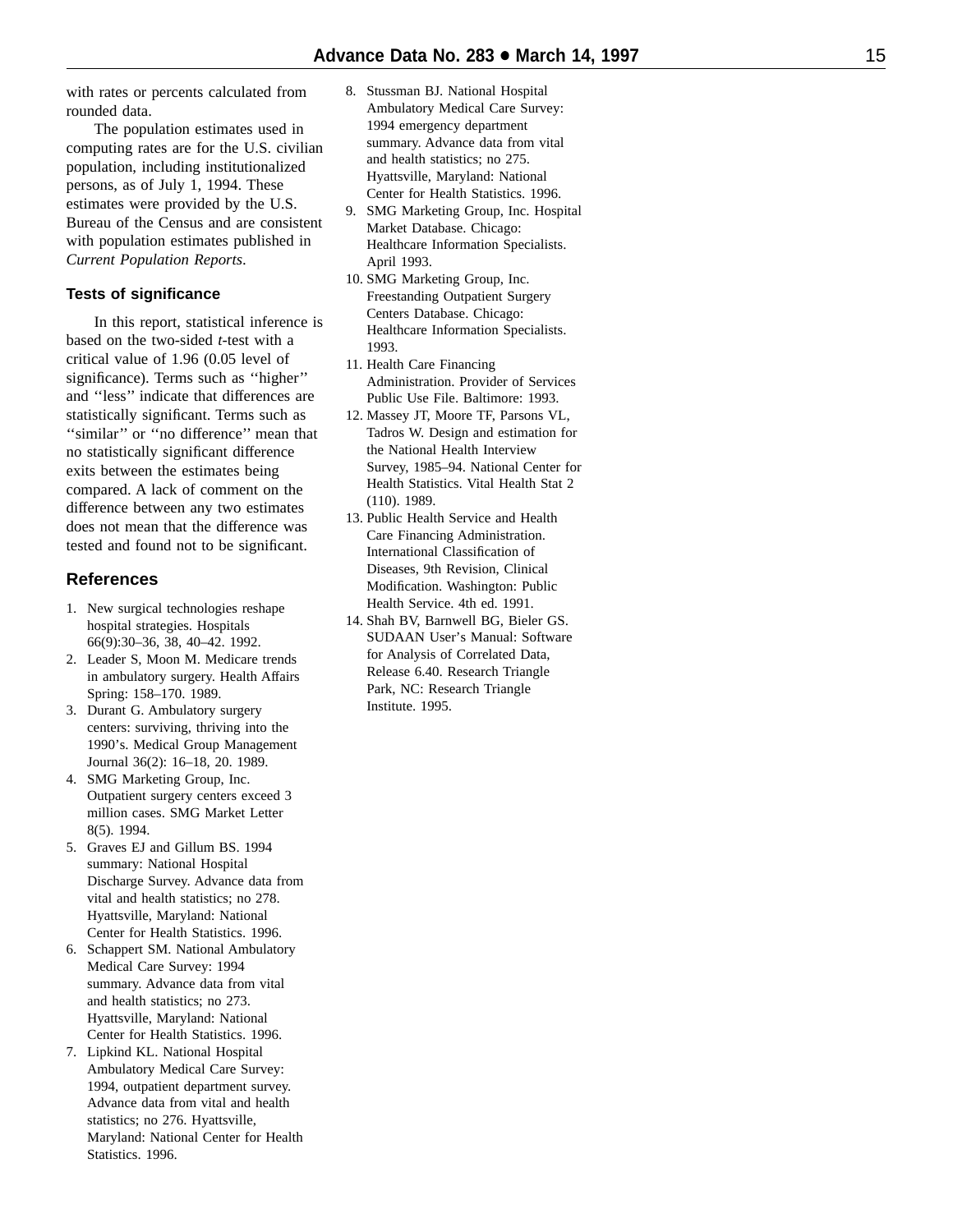with rates or percents calculated from rounded data.

The population estimates used in computing rates are for the U.S. civilian population, including institutionalized persons, as of July 1, 1994. These estimates were provided by the U.S. Bureau of the Census and are consistent with population estimates published in *Current Population Reports* .

### **Tests of significance**

In this report, statistical inference is based on the two-sided *t*-test with a critical value of 1.96 (0.05 level of significance). Terms such as ''higher'' and ''less'' indicate that differences are statistically significant. Terms such as "similar" or "no difference" mean that no statistically significant difference exits between the estimates being compared. A lack of comment on the difference between any two estimates does not mean that the difference was tested and found not to be significant.

# **References**

- 1. New surgical technologies reshape hospital strategies. Hospitals 66(9):30–36, 38, 40–42. 1992.
- 2. Leader S, Moon M. Medicare trends in ambulatory surgery. Health Affairs Spring: 158–170. 1989.
- 3. Durant G. Ambulatory surgery centers: surviving, thriving into the 1990's. Medical Group Management Journal 36(2): 16–18, 20. 1989.
- 4. SMG Marketing Group, Inc. Outpatient surgery centers exceed 3 million cases. SMG Market Letter 8(5). 1994.
- 5. Graves EJ and Gillum BS. 1994 summary: National Hospital Discharge Survey. Advance data from vital and health statistics; no 278. Hyattsville, Maryland: National Center for Health Statistics. 1996.
- 6. Schappert SM. National Ambulatory Medical Care Survey: 1994 summary. Advance data from vital and health statistics; no 273. Hyattsville, Maryland: National Center for Health Statistics. 1996.
- 7. Lipkind KL. National Hospital Ambulatory Medical Care Survey: 1994, outpatient department survey. Advance data from vital and health statistics; no 276. Hyattsville, Maryland: National Center for Health Statistics. 1996.
- 8. Stussman BJ. National Hospital Ambulatory Medical Care Survey: 1994 emergency department summary. Advance data from vital and health statistics; no 275. Hyattsville, Maryland: National Center for Health Statistics. 1996.
- 9. SMG Marketing Group, Inc. Hospital Market Database. Chicago: Healthcare Information Specialists. April 1993.
- 10. SMG Marketing Group, Inc. Freestanding Outpatient Surgery Centers Database. Chicago: Healthcare Information Specialists. 1993.
- 11. Health Care Financing Administration. Provider of Services Public Use File. Baltimore: 1993.
- 12. Massey JT, Moore TF, Parsons VL, Tadros W. Design and estimation for the National Health Interview Survey, 1985–94. National Center for Health Statistics. Vital Health Stat 2 (110). 1989.
- 13. Public Health Service and Health Care Financing Administration. International Classification of Diseases, 9th Revision, Clinical Modification. Washington: Public Health Service. 4th ed. 1991.
- 14. Shah BV, Barnwell BG, Bieler GS. SUDAAN User's Manual: Software for Analysis of Correlated Data, Release 6.40. Research Triangle Park, NC: Research Triangle Institute. 1995.